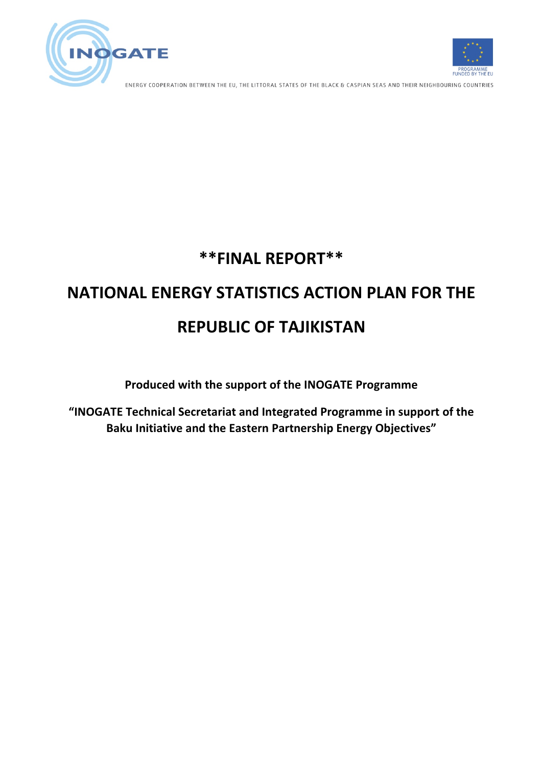



ENERGY COOPERATION BETWEEN THE EU, THE LITTORAL STATES OF THE BLACK & CASPIAN SEAS AND THEIR NEIGHBOURING COUNTRIES

# **\*\*FINAL REPORT\*\***

# **NATIONAL ENERGY STATISTICS ACTION PLAN FOR THE REPUBLIC OF TAJIKISTAN**

**Produced with the support of the INOGATE Programme** 

"INOGATE Technical Secretariat and Integrated Programme in support of the **Baku Initiative and the Eastern Partnership Energy Objectives"**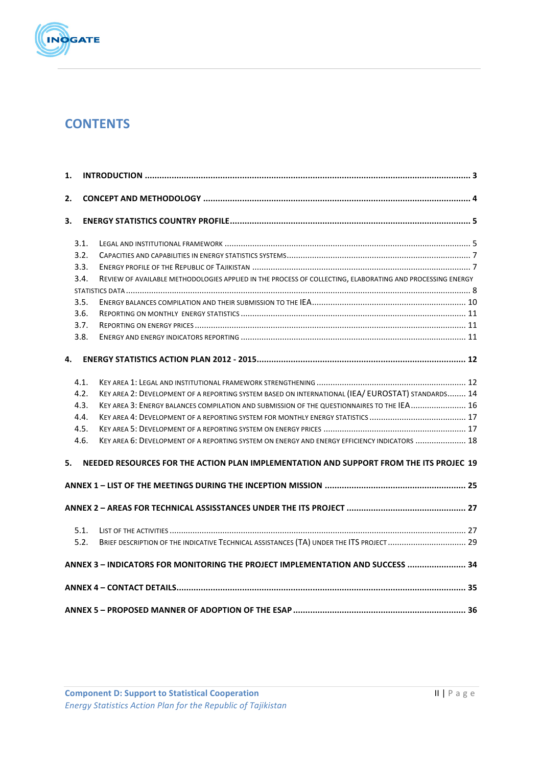

# **CONTENTS**

| 1. |      |                                                                                                           |  |  |  |  |  |  |
|----|------|-----------------------------------------------------------------------------------------------------------|--|--|--|--|--|--|
| 2. |      |                                                                                                           |  |  |  |  |  |  |
| 3. |      |                                                                                                           |  |  |  |  |  |  |
|    | 3.1. |                                                                                                           |  |  |  |  |  |  |
|    | 3.2. |                                                                                                           |  |  |  |  |  |  |
|    | 3.3. |                                                                                                           |  |  |  |  |  |  |
|    | 3.4. | REVIEW OF AVAILABLE METHODOLOGIES APPLIED IN THE PROCESS OF COLLECTING, ELABORATING AND PROCESSING ENERGY |  |  |  |  |  |  |
|    |      |                                                                                                           |  |  |  |  |  |  |
|    | 3.5. |                                                                                                           |  |  |  |  |  |  |
|    | 3.6. |                                                                                                           |  |  |  |  |  |  |
|    | 3.7. |                                                                                                           |  |  |  |  |  |  |
|    | 3.8. |                                                                                                           |  |  |  |  |  |  |
| 4. |      |                                                                                                           |  |  |  |  |  |  |
|    | 4.1. |                                                                                                           |  |  |  |  |  |  |
|    | 4.2. | KEY AREA 2: DEVELOPMENT OF A REPORTING SYSTEM BASED ON INTERNATIONAL (IEA/ EUROSTAT) STANDARDS 14         |  |  |  |  |  |  |
|    | 4.3. | KEY AREA 3: ENERGY BALANCES COMPILATION AND SUBMISSION OF THE QUESTIONNAIRES TO THE IEA 16                |  |  |  |  |  |  |
|    | 4.4. |                                                                                                           |  |  |  |  |  |  |
|    | 4.5. |                                                                                                           |  |  |  |  |  |  |
|    | 4.6. | KEY AREA 6: DEVELOPMENT OF A REPORTING SYSTEM ON ENERGY AND ENERGY EFFICIENCY INDICATORS  18              |  |  |  |  |  |  |
| 5. |      | NEEDED RESOURCES FOR THE ACTION PLAN IMPLEMENTATION AND SUPPORT FROM THE ITS PROJEC 19                    |  |  |  |  |  |  |
|    |      |                                                                                                           |  |  |  |  |  |  |
|    |      |                                                                                                           |  |  |  |  |  |  |
|    | 5.1. |                                                                                                           |  |  |  |  |  |  |
|    | 5.2. | BRIEF DESCRIPTION OF THE INDICATIVE TECHNICAL ASSISTANCES (TA) UNDER THE ITS PROJECT  29                  |  |  |  |  |  |  |
|    |      | ANNEX 3 - INDICATORS FOR MONITORING THE PROJECT IMPLEMENTATION AND SUCCESS  34                            |  |  |  |  |  |  |
|    |      |                                                                                                           |  |  |  |  |  |  |
|    |      |                                                                                                           |  |  |  |  |  |  |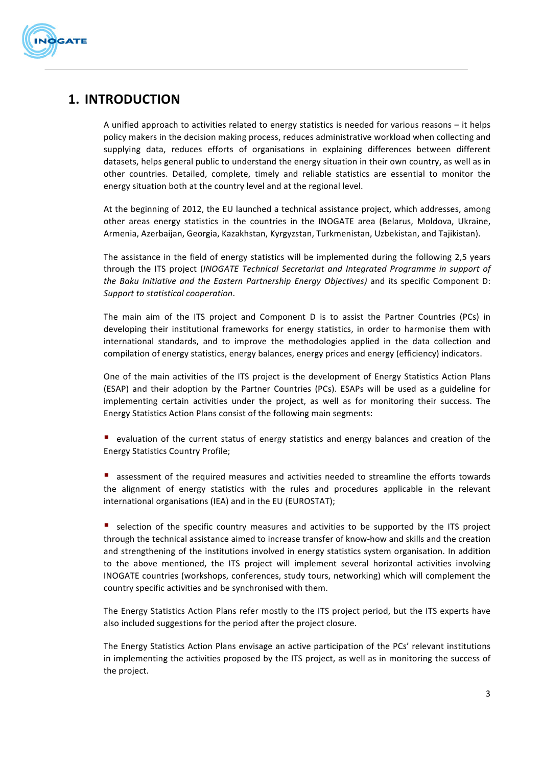

# **1. INTRODUCTION**

A unified approach to activities related to energy statistics is needed for various reasons  $-$  it helps policy makers in the decision making process, reduces administrative workload when collecting and supplying data, reduces efforts of organisations in explaining differences between different datasets, helps general public to understand the energy situation in their own country, as well as in other countries. Detailed, complete, timely and reliable statistics are essential to monitor the energy situation both at the country level and at the regional level.

At the beginning of 2012, the EU launched a technical assistance project, which addresses, among other areas energy statistics in the countries in the INOGATE area (Belarus, Moldova, Ukraine, Armenia, Azerbaijan, Georgia, Kazakhstan, Kyrgyzstan, Turkmenistan, Uzbekistan, and Tajikistan).

The assistance in the field of energy statistics will be implemented during the following 2,5 years through the ITS project (*INOGATE Technical Secretariat and Integrated Programme in support of the Baku Initiative and the Eastern Partnership Energy Objectives)* and its specific Component D: *Support to statistical cooperation*.

The main aim of the ITS project and Component D is to assist the Partner Countries (PCs) in developing their institutional frameworks for energy statistics, in order to harmonise them with international standards, and to improve the methodologies applied in the data collection and compilation of energy statistics, energy balances, energy prices and energy (efficiency) indicators.

One of the main activities of the ITS project is the development of Energy Statistics Action Plans (ESAP) and their adoption by the Partner Countries (PCs). ESAPs will be used as a guideline for implementing certain activities under the project, as well as for monitoring their success. The Energy Statistics Action Plans consist of the following main segments:

evaluation of the current status of energy statistics and energy balances and creation of the Energy Statistics Country Profile;

■ assessment of the required measures and activities needed to streamline the efforts towards the alignment of energy statistics with the rules and procedures applicable in the relevant international organisations (IEA) and in the EU (EUROSTAT);

■ selection of the specific country measures and activities to be supported by the ITS project through the technical assistance aimed to increase transfer of know-how and skills and the creation and strengthening of the institutions involved in energy statistics system organisation. In addition to the above mentioned, the ITS project will implement several horizontal activities involving INOGATE countries (workshops, conferences, study tours, networking) which will complement the country specific activities and be synchronised with them.

The Energy Statistics Action Plans refer mostly to the ITS project period, but the ITS experts have also included suggestions for the period after the project closure.

The Energy Statistics Action Plans envisage an active participation of the PCs' relevant institutions in implementing the activities proposed by the ITS project, as well as in monitoring the success of the project.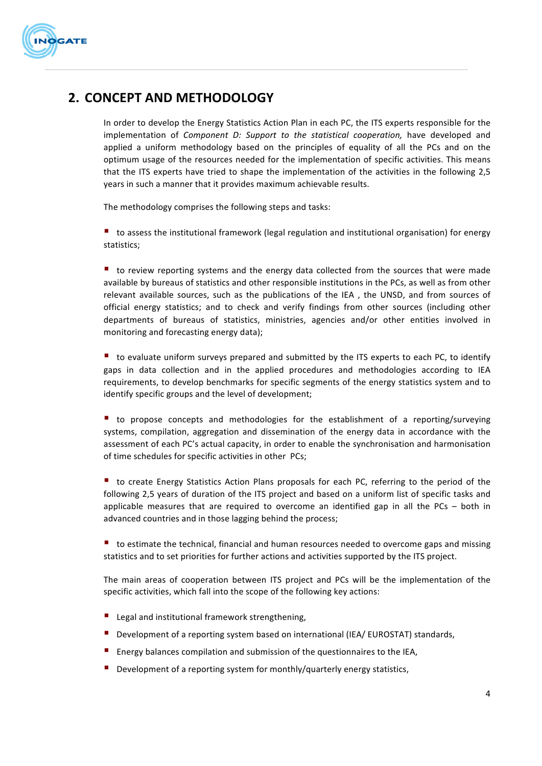

# **2. CONCEPT AND METHODOLOGY**

In order to develop the Energy Statistics Action Plan in each PC, the ITS experts responsible for the implementation of *Component D: Support to the statistical cooperation*, have developed and applied a uniform methodology based on the principles of equality of all the PCs and on the optimum usage of the resources needed for the implementation of specific activities. This means that the ITS experts have tried to shape the implementation of the activities in the following 2,5 years in such a manner that it provides maximum achievable results.

The methodology comprises the following steps and tasks:

■ to assess the institutional framework (legal regulation and institutional organisation) for energy statistics;

 $\blacksquare$  to review reporting systems and the energy data collected from the sources that were made available by bureaus of statistics and other responsible institutions in the PCs, as well as from other relevant available sources, such as the publications of the IEA, the UNSD, and from sources of official energy statistics; and to check and verify findings from other sources (including other departments of bureaus of statistics, ministries, agencies and/or other entities involved in monitoring and forecasting energy data);

 $\blacksquare$  to evaluate uniform surveys prepared and submitted by the ITS experts to each PC, to identify gaps in data collection and in the applied procedures and methodologies according to IEA requirements, to develop benchmarks for specific segments of the energy statistics system and to identify specific groups and the level of development;

■ to propose concepts and methodologies for the establishment of a reporting/surveying systems, compilation, aggregation and dissemination of the energy data in accordance with the assessment of each PC's actual capacity, in order to enable the synchronisation and harmonisation of time schedules for specific activities in other PCs;

■ to create Energy Statistics Action Plans proposals for each PC, referring to the period of the following 2,5 years of duration of the ITS project and based on a uniform list of specific tasks and applicable measures that are required to overcome an identified gap in all the PCs  $-$  both in advanced countries and in those lagging behind the process;

 $\blacksquare$  to estimate the technical, financial and human resources needed to overcome gaps and missing statistics and to set priorities for further actions and activities supported by the ITS project.

The main areas of cooperation between ITS project and PCs will be the implementation of the specific activities, which fall into the scope of the following key actions:

- Legal and institutional framework strengthening,
- Development of a reporting system based on international (IEA/ EUROSTAT) standards,
- Energy balances compilation and submission of the questionnaires to the IEA,
- **Development of a reporting system for monthly/quarterly energy statistics,**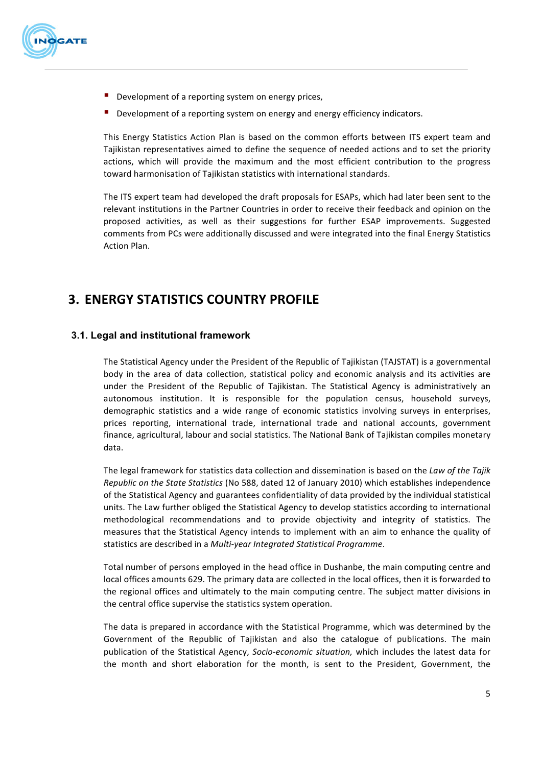

- $\blacksquare$  Development of a reporting system on energy prices,
- Development of a reporting system on energy and energy efficiency indicators.

This Energy Statistics Action Plan is based on the common efforts between ITS expert team and Tajikistan representatives aimed to define the sequence of needed actions and to set the priority actions, which will provide the maximum and the most efficient contribution to the progress toward harmonisation of Tajikistan statistics with international standards.

The ITS expert team had developed the draft proposals for ESAPs, which had later been sent to the relevant institutions in the Partner Countries in order to receive their feedback and opinion on the proposed activities, as well as their suggestions for further ESAP improvements. Suggested comments from PCs were additionally discussed and were integrated into the final Energy Statistics Action Plan. 

# **3. ENERGY STATISTICS COUNTRY PROFILE**

### **3.1. Legal and institutional framework**

The Statistical Agency under the President of the Republic of Tajikistan (TAJSTAT) is a governmental body in the area of data collection, statistical policy and economic analysis and its activities are under the President of the Republic of Tajikistan. The Statistical Agency is administratively an autonomous institution. It is responsible for the population census, household surveys, demographic statistics and a wide range of economic statistics involving surveys in enterprises, prices reporting, international trade, international trade and national accounts, government finance, agricultural, labour and social statistics. The National Bank of Tajikistan compiles monetary data.

The legal framework for statistics data collection and dissemination is based on the *Law of the Tajik Republic on the State Statistics* (No 588, dated 12 of January 2010) which establishes independence of the Statistical Agency and guarantees confidentiality of data provided by the individual statistical units. The Law further obliged the Statistical Agency to develop statistics according to international methodological recommendations and to provide objectivity and integrity of statistics. The measures that the Statistical Agency intends to implement with an aim to enhance the quality of statistics are described in a *Multi-year Integrated Statistical Programme*.

Total number of persons employed in the head office in Dushanbe, the main computing centre and local offices amounts 629. The primary data are collected in the local offices, then it is forwarded to the regional offices and ultimately to the main computing centre. The subject matter divisions in the central office supervise the statistics system operation.

The data is prepared in accordance with the Statistical Programme, which was determined by the Government of the Republic of Tajikistan and also the catalogue of publications. The main publication of the Statistical Agency, Socio-economic situation, which includes the latest data for the month and short elaboration for the month, is sent to the President, Government, the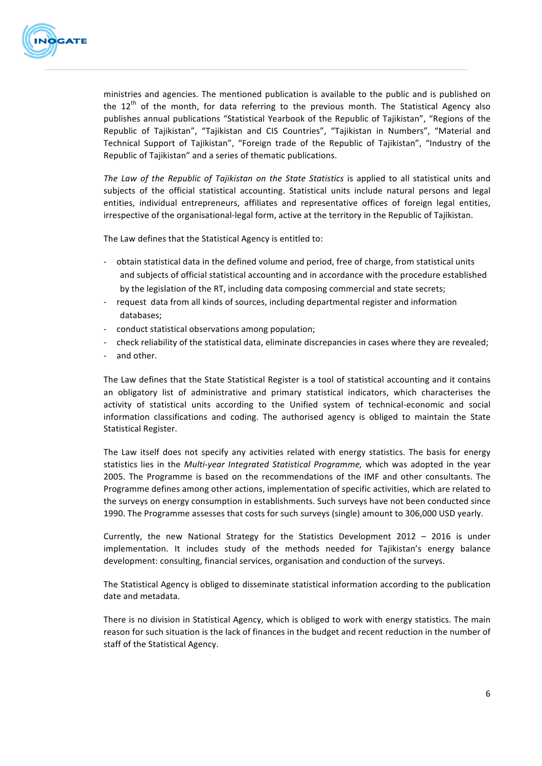

ministries and agencies. The mentioned publication is available to the public and is published on the  $12<sup>th</sup>$  of the month, for data referring to the previous month. The Statistical Agency also publishes annual publications "Statistical Yearbook of the Republic of Tajikistan", "Regions of the Republic of Tajikistan", "Tajikistan and CIS Countries", "Tajikistan in Numbers", "Material and Technical Support of Tajikistan", "Foreign trade of the Republic of Tajikistan", "Industry of the Republic of Tajikistan" and a series of thematic publications.

*The Law of the Republic of Tajikistan on the State Statistics* is applied to all statistical units and subjects of the official statistical accounting. Statistical units include natural persons and legal entities, individual entrepreneurs, affiliates and representative offices of foreign legal entities, irrespective of the organisational-legal form, active at the territory in the Republic of Tajikistan.

The Law defines that the Statistical Agency is entitled to:

- obtain statistical data in the defined volume and period, free of charge, from statistical units and subjects of official statistical accounting and in accordance with the procedure established by the legislation of the RT, including data composing commercial and state secrets;
- request data from all kinds of sources, including departmental register and information databases;
- conduct statistical observations among population;
- check reliability of the statistical data, eliminate discrepancies in cases where they are revealed;
- and other.

The Law defines that the State Statistical Register is a tool of statistical accounting and it contains an obligatory list of administrative and primary statistical indicators, which characterises the activity of statistical units according to the Unified system of technical-economic and social information classifications and coding. The authorised agency is obliged to maintain the State Statistical Register.

The Law itself does not specify any activities related with energy statistics. The basis for energy statistics lies in the *Multi-year Integrated Statistical Programme,* which was adopted in the year 2005. The Programme is based on the recommendations of the IMF and other consultants. The Programme defines among other actions, implementation of specific activities, which are related to the surveys on energy consumption in establishments. Such surveys have not been conducted since 1990. The Programme assesses that costs for such surveys (single) amount to 306,000 USD yearly.

Currently, the new National Strategy for the Statistics Development 2012 - 2016 is under implementation. It includes study of the methods needed for Tajikistan's energy balance development: consulting, financial services, organisation and conduction of the surveys.

The Statistical Agency is obliged to disseminate statistical information according to the publication date and metadata.

There is no division in Statistical Agency, which is obliged to work with energy statistics. The main reason for such situation is the lack of finances in the budget and recent reduction in the number of staff of the Statistical Agency.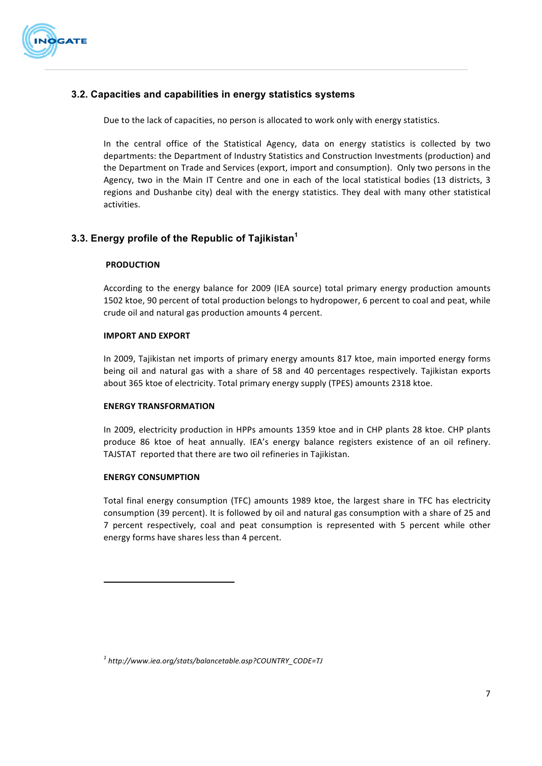

# **3.2. Capacities and capabilities in energy statistics systems**

Due to the lack of capacities, no person is allocated to work only with energy statistics.

In the central office of the Statistical Agency, data on energy statistics is collected by two departments: the Department of Industry Statistics and Construction Investments (production) and the Department on Trade and Services (export, import and consumption). Only two persons in the Agency, two in the Main IT Centre and one in each of the local statistical bodies (13 districts, 3 regions and Dushanbe city) deal with the energy statistics. They deal with many other statistical activities.

# **3.3. Energy profile of the Republic of Tajikistan<sup>1</sup>**

#### **PRODUCTION**

According to the energy balance for 2009 (IEA source) total primary energy production amounts 1502 ktoe, 90 percent of total production belongs to hydropower, 6 percent to coal and peat, while crude oil and natural gas production amounts 4 percent.

#### **IMPORT AND EXPORT**

In 2009, Tajikistan net imports of primary energy amounts 817 ktoe, main imported energy forms being oil and natural gas with a share of 58 and 40 percentages respectively. Tajikistan exports about 365 ktoe of electricity. Total primary energy supply (TPES) amounts 2318 ktoe.

#### **ENERGY TRANSFORMATION**

In 2009, electricity production in HPPs amounts 1359 ktoe and in CHP plants 28 ktoe. CHP plants produce 86 ktoe of heat annually. IEA's energy balance registers existence of an oil refinery. TAJSTAT reported that there are two oil refineries in Tajikistan.

#### **ENERGY CONSUMPTION**

 

Total final energy consumption (TFC) amounts 1989 ktoe, the largest share in TFC has electricity consumption (39 percent). It is followed by oil and natural gas consumption with a share of 25 and 7 percent respectively, coal and peat consumption is represented with 5 percent while other energy forms have shares less than 4 percent.

*<sup>1</sup> http://www.iea.org/stats/balancetable.asp?COUNTRY\_CODE=TJ*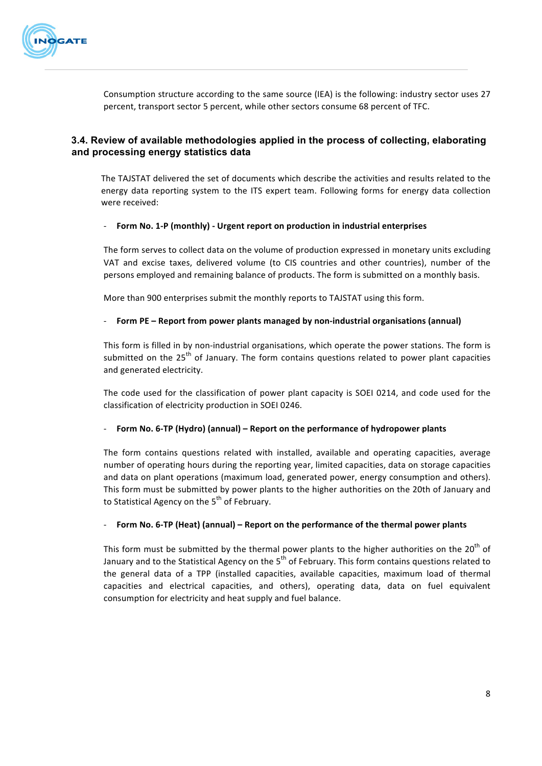

Consumption structure according to the same source (IEA) is the following: industry sector uses 27 percent, transport sector 5 percent, while other sectors consume 68 percent of TFC.

# **3.4. Review of available methodologies applied in the process of collecting, elaborating and processing energy statistics data**

The TAJSTAT delivered the set of documents which describe the activities and results related to the energy data reporting system to the ITS expert team. Following forms for energy data collection were received:

#### Form No. 1-P (monthly) - Urgent report on production in industrial enterprises

The form serves to collect data on the volume of production expressed in monetary units excluding VAT and excise taxes, delivered volume (to CIS countries and other countries), number of the persons employed and remaining balance of products. The form is submitted on a monthly basis.

More than 900 enterprises submit the monthly reports to TAJSTAT using this form.

#### **FICHT THE VIOUT FIRE THE VIOUTE THE VIOUTE THE VIOUTE THE VIOUTE THE VIOUTE THE VIOUTE THE VIOUTE 1 THE VIOUTE 101010**

This form is filled in by non-industrial organisations, which operate the power stations. The form is submitted on the  $25<sup>th</sup>$  of January. The form contains questions related to power plant capacities and generated electricity.

The code used for the classification of power plant capacity is SOEI 0214, and code used for the classification of electricity production in SOEI 0246.

#### **Form No. 6-TP (Hydro) (annual) – Report on the performance of hydropower plants**

The form contains questions related with installed, available and operating capacities, average number of operating hours during the reporting year, limited capacities, data on storage capacities and data on plant operations (maximum load, generated power, energy consumption and others). This form must be submitted by power plants to the higher authorities on the 20th of January and to Statistical Agency on the  $5<sup>th</sup>$  of February.

#### Form No. 6-TP (Heat) (annual) – Report on the performance of the thermal power plants

This form must be submitted by the thermal power plants to the higher authorities on the  $20<sup>th</sup>$  of January and to the Statistical Agency on the  $5<sup>th</sup>$  of February. This form contains questions related to the general data of a TPP (installed capacities, available capacities, maximum load of thermal capacities and electrical capacities, and others), operating data, data on fuel equivalent consumption for electricity and heat supply and fuel balance.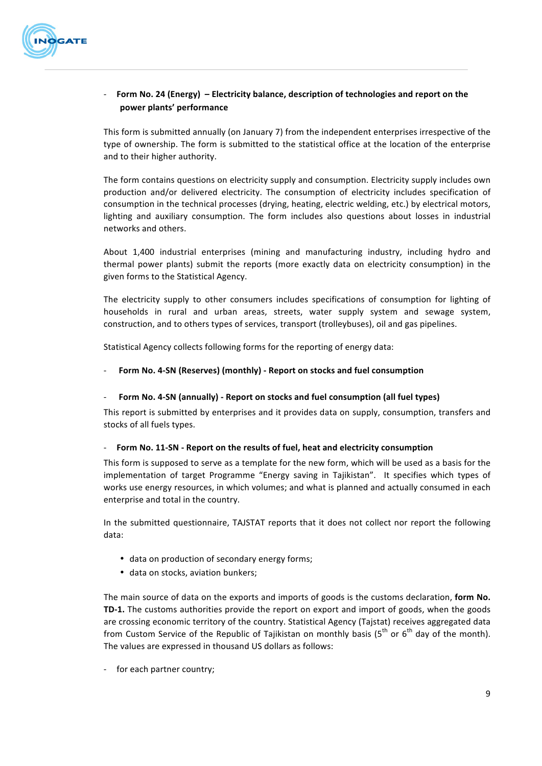

### - **Form No. 24 (Energy)** - Electricity balance, description of technologies and report on the **power plants' performance**

This form is submitted annually (on January 7) from the independent enterprises irrespective of the type of ownership. The form is submitted to the statistical office at the location of the enterprise and to their higher authority.

The form contains questions on electricity supply and consumption. Electricity supply includes own production and/or delivered electricity. The consumption of electricity includes specification of consumption in the technical processes (drying, heating, electric welding, etc.) by electrical motors, lighting and auxiliary consumption. The form includes also questions about losses in industrial networks and others.

About 1,400 industrial enterprises (mining and manufacturing industry, including hydro and thermal power plants) submit the reports (more exactly data on electricity consumption) in the given forms to the Statistical Agency.

The electricity supply to other consumers includes specifications of consumption for lighting of households in rural and urban areas, streets, water supply system and sewage system, construction, and to others types of services, transport (trolleybuses), oil and gas pipelines.

Statistical Agency collects following forms for the reporting of energy data:

#### **Form No. 4-SN (Reserves) (monthly) - Report on stocks and fuel consumption**

#### Form No. 4-SN (annually) - Report on stocks and fuel consumption (all fuel types)

This report is submitted by enterprises and it provides data on supply, consumption, transfers and stocks of all fuels types.

#### Form No. 11-SN - Report on the results of fuel, heat and electricity consumption

This form is supposed to serve as a template for the new form, which will be used as a basis for the implementation of target Programme "Energy saving in Tajikistan". It specifies which types of works use energy resources, in which volumes; and what is planned and actually consumed in each enterprise and total in the country.

In the submitted questionnaire, TAJSTAT reports that it does not collect nor report the following data:

- data on production of secondary energy forms;
- data on stocks, aviation bunkers;

The main source of data on the exports and imports of goods is the customs declaration, **form No. TD-1.** The customs authorities provide the report on export and import of goods, when the goods are crossing economic territory of the country. Statistical Agency (Tajstat) receives aggregated data from Custom Service of the Republic of Tajikistan on monthly basis ( $5<sup>th</sup>$  or  $6<sup>th</sup>$  day of the month). The values are expressed in thousand US dollars as follows:

- for each partner country;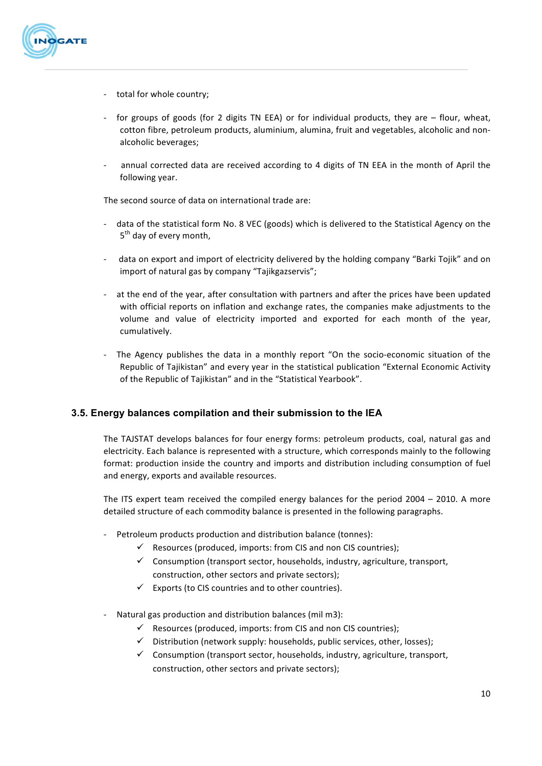

- total for whole country;
- for groups of goods (for 2 digits TN EEA) or for individual products, they are flour, wheat, cotton fibre, petroleum products, aluminium, alumina, fruit and vegetables, alcoholic and nonalcoholic beverages;
- annual corrected data are received according to 4 digits of TN EEA in the month of April the following year.

The second source of data on international trade are:

- data of the statistical form No. 8 VEC (goods) which is delivered to the Statistical Agency on the 5<sup>th</sup> day of every month.
- data on export and import of electricity delivered by the holding company "Barki Tojik" and on import of natural gas by company "Tajikgazservis";
- at the end of the year, after consultation with partners and after the prices have been updated with official reports on inflation and exchange rates, the companies make adjustments to the volume and value of electricity imported and exported for each month of the year, cumulatively.
- The Agency publishes the data in a monthly report "On the socio-economic situation of the Republic of Tajikistan" and every year in the statistical publication "External Economic Activity of the Republic of Tajikistan" and in the "Statistical Yearbook".

# **3.5. Energy balances compilation and their submission to the IEA**

The TAJSTAT develops balances for four energy forms: petroleum products, coal, natural gas and electricity. Each balance is represented with a structure, which corresponds mainly to the following format: production inside the country and imports and distribution including consumption of fuel and energy, exports and available resources.

The ITS expert team received the compiled energy balances for the period  $2004 - 2010$ . A more detailed structure of each commodity balance is presented in the following paragraphs.

- Petroleum products production and distribution balance (tonnes):
	- $\checkmark$  Resources (produced, imports: from CIS and non CIS countries);
	- $\checkmark$  Consumption (transport sector, households, industry, agriculture, transport, construction, other sectors and private sectors);
	- $\checkmark$  Exports (to CIS countries and to other countries).
- Natural gas production and distribution balances (mil m3):
	- $\checkmark$  Resources (produced, imports: from CIS and non CIS countries);
	- $\checkmark$  Distribution (network supply: households, public services, other, losses);
	- $\checkmark$  Consumption (transport sector, households, industry, agriculture, transport, construction, other sectors and private sectors);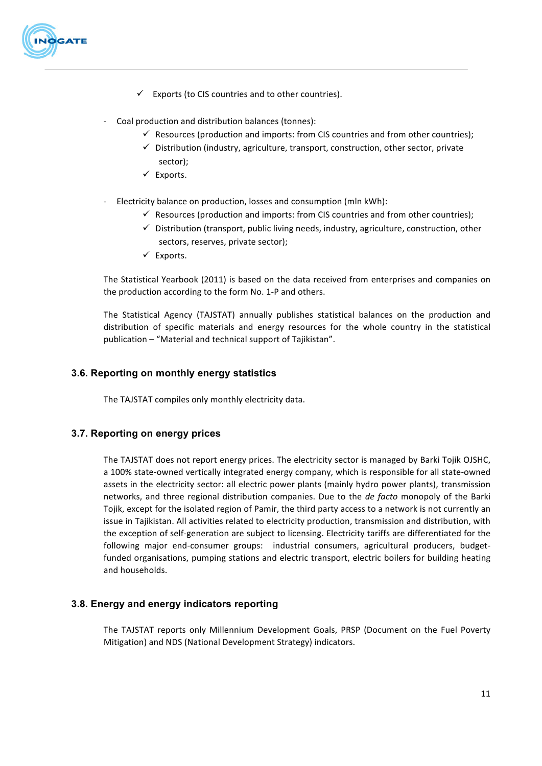

- $\checkmark$  Exports (to CIS countries and to other countries).
- Coal production and distribution balances (tonnes):
	- $\checkmark$  Resources (production and imports: from CIS countries and from other countries);
	- $\checkmark$  Distribution (industry, agriculture, transport, construction, other sector, private sector);
	- $\checkmark$  Exports.
- Electricity balance on production, losses and consumption (mln kWh):
	- $\checkmark$  Resources (production and imports: from CIS countries and from other countries);
	- $\checkmark$  Distribution (transport, public living needs, industry, agriculture, construction, other sectors, reserves, private sector);
	- $\checkmark$  Exports.

The Statistical Yearbook (2011) is based on the data received from enterprises and companies on the production according to the form No. 1-P and others.

The Statistical Agency (TAJSTAT) annually publishes statistical balances on the production and distribution of specific materials and energy resources for the whole country in the statistical publication – "Material and technical support of Tajikistan".

# **3.6. Reporting on monthly energy statistics**

The TAJSTAT compiles only monthly electricity data.

# **3.7. Reporting on energy prices**

The TAJSTAT does not report energy prices. The electricity sector is managed by Barki Tojik OJSHC, a 100% state-owned vertically integrated energy company, which is responsible for all state-owned assets in the electricity sector: all electric power plants (mainly hydro power plants), transmission networks, and three regional distribution companies. Due to the *de facto* monopoly of the Barki Tojik, except for the isolated region of Pamir, the third party access to a network is not currently an issue in Tajikistan. All activities related to electricity production, transmission and distribution, with the exception of self-generation are subject to licensing. Electricity tariffs are differentiated for the following major end-consumer groups: industrial consumers, agricultural producers, budgetfunded organisations, pumping stations and electric transport, electric boilers for building heating and households.

# **3.8. Energy and energy indicators reporting**

The TAJSTAT reports only Millennium Development Goals, PRSP (Document on the Fuel Poverty Mitigation) and NDS (National Development Strategy) indicators.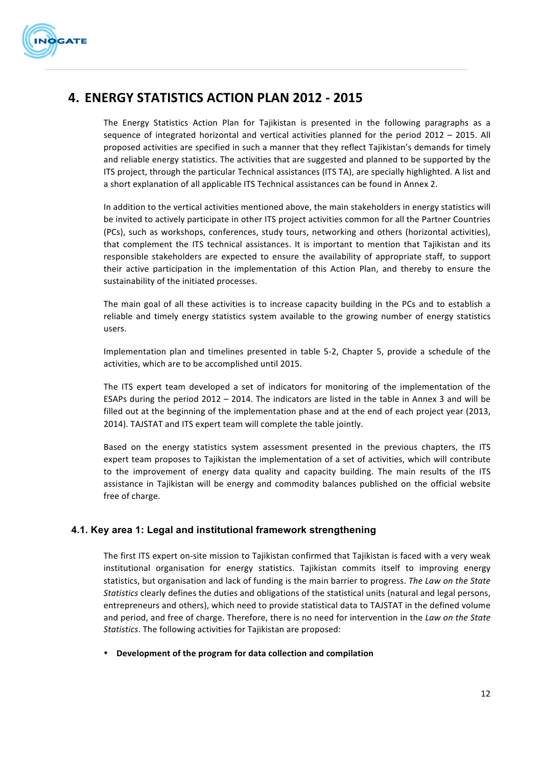

# **4. ENERGY STATISTICS ACTION PLAN 2012 - 2015**

The Energy Statistics Action Plan for Tajikistan is presented in the following paragraphs as a sequence of integrated horizontal and vertical activities planned for the period  $2012 - 2015$ . All proposed activities are specified in such a manner that they reflect Tajikistan's demands for timely and reliable energy statistics. The activities that are suggested and planned to be supported by the ITS project, through the particular Technical assistances (ITS TA), are specially highlighted. A list and a short explanation of all applicable ITS Technical assistances can be found in Annex 2.

In addition to the vertical activities mentioned above, the main stakeholders in energy statistics will be invited to actively participate in other ITS project activities common for all the Partner Countries (PCs), such as workshops, conferences, study tours, networking and others (horizontal activities), that complement the ITS technical assistances. It is important to mention that Tajikistan and its responsible stakeholders are expected to ensure the availability of appropriate staff, to support their active participation in the implementation of this Action Plan, and thereby to ensure the sustainability of the initiated processes.

The main goal of all these activities is to increase capacity building in the PCs and to establish a reliable and timely energy statistics system available to the growing number of energy statistics users. 

Implementation plan and timelines presented in table 5-2, Chapter 5, provide a schedule of the activities, which are to be accomplished until 2015.

The ITS expert team developed a set of indicators for monitoring of the implementation of the ESAPs during the period  $2012 - 2014$ . The indicators are listed in the table in Annex 3 and will be filled out at the beginning of the implementation phase and at the end of each project year (2013, 2014). TAJSTAT and ITS expert team will complete the table jointly.

Based on the energy statistics system assessment presented in the previous chapters, the ITS expert team proposes to Tajikistan the implementation of a set of activities, which will contribute to the improvement of energy data quality and capacity building. The main results of the ITS assistance in Tajikistan will be energy and commodity balances published on the official website free of charge.

# **4.1. Key area 1: Legal and institutional framework strengthening**

The first ITS expert on-site mission to Tajikistan confirmed that Tajikistan is faced with a very weak institutional organisation for energy statistics. Tajikistan commits itself to improving energy statistics, but organisation and lack of funding is the main barrier to progress. The Law on the State *Statistics* clearly defines the duties and obligations of the statistical units (natural and legal persons, entrepreneurs and others), which need to provide statistical data to TAJSTAT in the defined volume and period, and free of charge. Therefore, there is no need for intervention in the *Law on the State* Statistics. The following activities for Tajikistan are proposed:

**• Development of the program for data collection and compilation**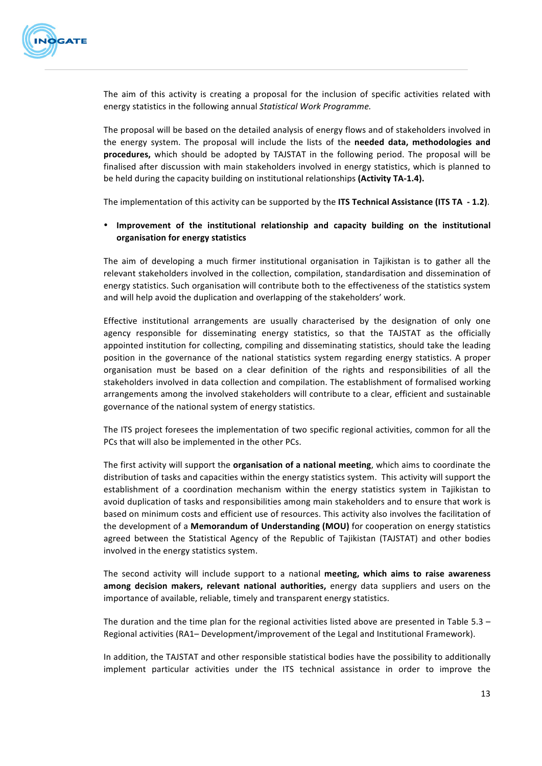

The aim of this activity is creating a proposal for the inclusion of specific activities related with energy statistics in the following annual *Statistical Work Programme.*

The proposal will be based on the detailed analysis of energy flows and of stakeholders involved in the energy system. The proposal will include the lists of the **needed data, methodologies and procedures,** which should be adopted by TAJSTAT in the following period. The proposal will be finalised after discussion with main stakeholders involved in energy statistics, which is planned to be held during the capacity building on institutional relationships (Activity TA-1.4).

The implementation of this activity can be supported by the ITS Technical Assistance (ITS TA - 1.2).

#### • Improvement of the institutional relationship and capacity building on the institutional **organisation for energy statistics**

The aim of developing a much firmer institutional organisation in Tajikistan is to gather all the relevant stakeholders involved in the collection, compilation, standardisation and dissemination of energy statistics. Such organisation will contribute both to the effectiveness of the statistics system and will help avoid the duplication and overlapping of the stakeholders' work.

Effective institutional arrangements are usually characterised by the designation of only one agency responsible for disseminating energy statistics, so that the TAJSTAT as the officially appointed institution for collecting, compiling and disseminating statistics, should take the leading position in the governance of the national statistics system regarding energy statistics. A proper organisation must be based on a clear definition of the rights and responsibilities of all the stakeholders involved in data collection and compilation. The establishment of formalised working arrangements among the involved stakeholders will contribute to a clear, efficient and sustainable governance of the national system of energy statistics.

The ITS project foresees the implementation of two specific regional activities, common for all the PCs that will also be implemented in the other PCs.

The first activity will support the **organisation of a national meeting**, which aims to coordinate the distribution of tasks and capacities within the energy statistics system. This activity will support the establishment of a coordination mechanism within the energy statistics system in Tajikistan to avoid duplication of tasks and responsibilities among main stakeholders and to ensure that work is based on minimum costs and efficient use of resources. This activity also involves the facilitation of the development of a **Memorandum of Understanding (MOU)** for cooperation on energy statistics agreed between the Statistical Agency of the Republic of Tajikistan (TAJSTAT) and other bodies involved in the energy statistics system.

The second activity will include support to a national **meeting, which aims to raise awareness among decision makers, relevant national authorities, energy data suppliers and users on the** importance of available, reliable, timely and transparent energy statistics.

The duration and the time plan for the regional activities listed above are presented in Table 5.3 – Regional activities (RA1– Development/improvement of the Legal and Institutional Framework).

In addition, the TAJSTAT and other responsible statistical bodies have the possibility to additionally implement particular activities under the ITS technical assistance in order to improve the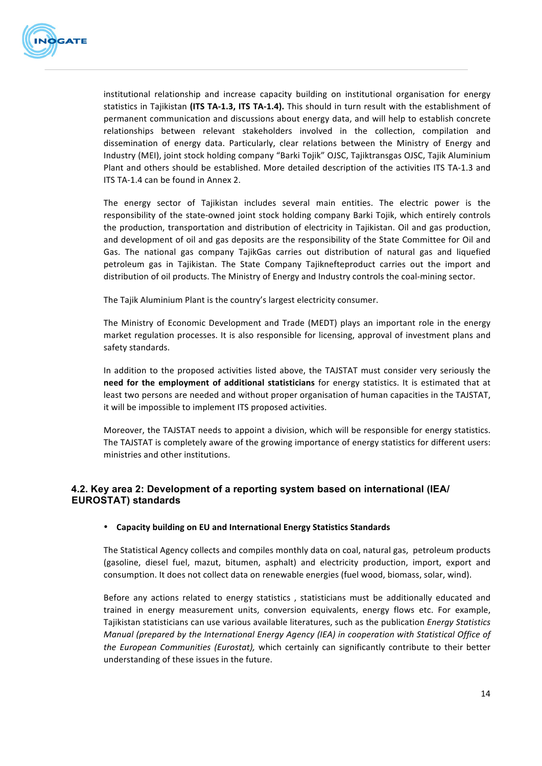

institutional relationship and increase capacity building on institutional organisation for energy statistics in Tajikistan (ITS TA-1.3, ITS TA-1.4). This should in turn result with the establishment of permanent communication and discussions about energy data, and will help to establish concrete relationships between relevant stakeholders involved in the collection, compilation and dissemination of energy data. Particularly, clear relations between the Ministry of Energy and Industry (MEI), joint stock holding company "Barki Tojik" OJSC, Tajiktransgas OJSC, Tajik Aluminium Plant and others should be established. More detailed description of the activities ITS TA-1.3 and ITS TA-1.4 can be found in Annex 2.

The energy sector of Tajikistan includes several main entities. The electric power is the responsibility of the state-owned joint stock holding company Barki Tojik, which entirely controls the production, transportation and distribution of electricity in Tajikistan. Oil and gas production, and development of oil and gas deposits are the responsibility of the State Committee for Oil and Gas. The national gas company TajikGas carries out distribution of natural gas and liquefied petroleum gas in Tajikistan. The State Company Tajiknefteproduct carries out the import and distribution of oil products. The Ministry of Energy and Industry controls the coal-mining sector.

The Tajik Aluminium Plant is the country's largest electricity consumer.

The Ministry of Economic Development and Trade (MEDT) plays an important role in the energy market regulation processes. It is also responsible for licensing, approval of investment plans and safety standards.

In addition to the proposed activities listed above, the TAJSTAT must consider very seriously the need for the employment of additional statisticians for energy statistics. It is estimated that at least two persons are needed and without proper organisation of human capacities in the TAJSTAT, it will be impossible to implement ITS proposed activities.

Moreover, the TAJSTAT needs to appoint a division, which will be responsible for energy statistics. The TAJSTAT is completely aware of the growing importance of energy statistics for different users: ministries and other institutions.

# **4.2. Key area 2: Development of a reporting system based on international (IEA/ EUROSTAT) standards**

#### • **Capacity building on EU and International Energy Statistics Standards**

The Statistical Agency collects and compiles monthly data on coal, natural gas, petroleum products (gasoline, diesel fuel, mazut, bitumen, asphalt) and electricity production, import, export and consumption. It does not collect data on renewable energies (fuel wood, biomass, solar, wind).

Before any actions related to energy statistics, statisticians must be additionally educated and trained in energy measurement units, conversion equivalents, energy flows etc. For example, Tajikistan statisticians can use various available literatures, such as the publication *Energy Statistics Manual (prepared by the International Energy Agency (IEA) in cooperation with Statistical Office of the European Communities (Eurostat),* which certainly can significantly contribute to their better understanding of these issues in the future.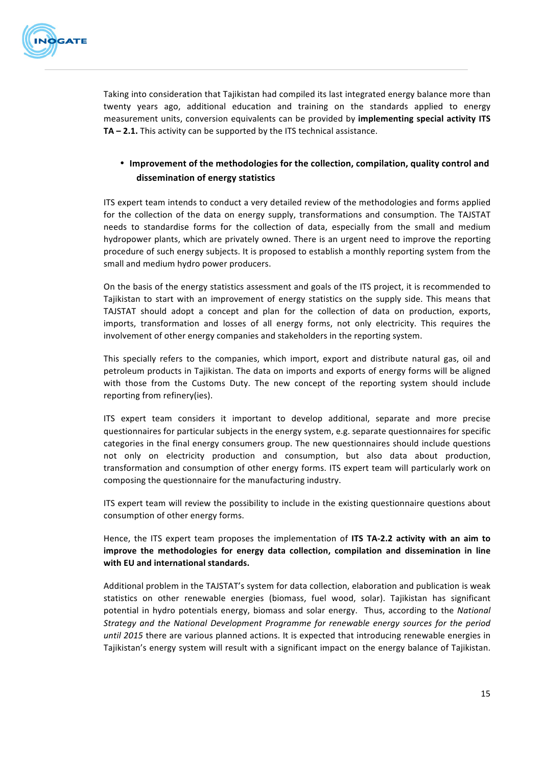

Taking into consideration that Tajikistan had compiled its last integrated energy balance more than twenty years ago, additional education and training on the standards applied to energy measurement units, conversion equivalents can be provided by **implementing special activity ITS TA – 2.1.** This activity can be supported by the ITS technical assistance.

# • Improvement of the methodologies for the collection, compilation, quality control and **dissemination of energy statistics**

ITS expert team intends to conduct a very detailed review of the methodologies and forms applied for the collection of the data on energy supply, transformations and consumption. The TAJSTAT needs to standardise forms for the collection of data, especially from the small and medium hydropower plants, which are privately owned. There is an urgent need to improve the reporting procedure of such energy subjects. It is proposed to establish a monthly reporting system from the small and medium hydro power producers.

On the basis of the energy statistics assessment and goals of the ITS project, it is recommended to Tajikistan to start with an improvement of energy statistics on the supply side. This means that TAJSTAT should adopt a concept and plan for the collection of data on production, exports, imports, transformation and losses of all energy forms, not only electricity. This requires the involvement of other energy companies and stakeholders in the reporting system.

This specially refers to the companies, which import, export and distribute natural gas, oil and petroleum products in Tajikistan. The data on imports and exports of energy forms will be aligned with those from the Customs Duty. The new concept of the reporting system should include reporting from refinery(ies).

ITS expert team considers it important to develop additional, separate and more precise questionnaires for particular subjects in the energy system, e.g. separate questionnaires for specific categories in the final energy consumers group. The new questionnaires should include questions not only on electricity production and consumption, but also data about production, transformation and consumption of other energy forms. ITS expert team will particularly work on composing the questionnaire for the manufacturing industry.

ITS expert team will review the possibility to include in the existing questionnaire questions about consumption of other energy forms.

Hence, the ITS expert team proposes the implementation of ITS TA-2.2 activity with an aim to **improve** the methodologies for energy data collection, compilation and dissemination in line **with EU and international standards.**

Additional problem in the TAJSTAT's system for data collection, elaboration and publication is weak statistics on other renewable energies (biomass, fuel wood, solar). Tajikistan has significant potential in hydro potentials energy, biomass and solar energy. Thus, according to the *National Strategy* and the National Development Programme for renewable energy sources for the period until 2015 there are various planned actions. It is expected that introducing renewable energies in Tajikistan's energy system will result with a significant impact on the energy balance of Tajikistan.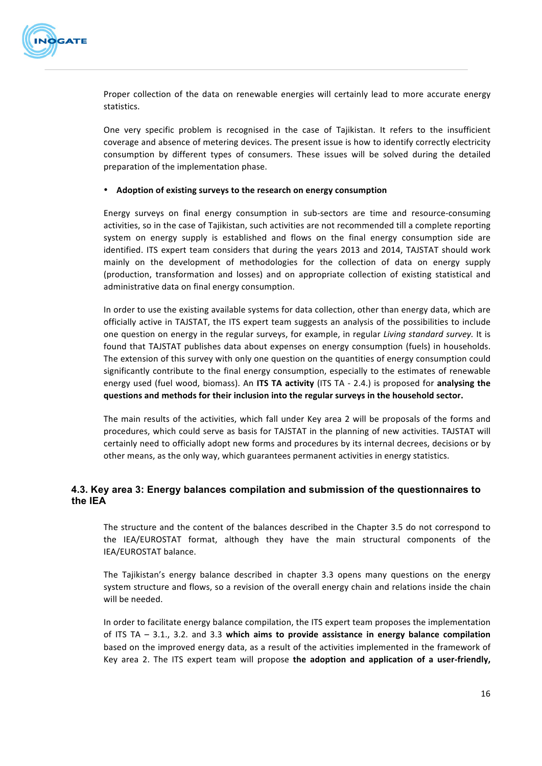

Proper collection of the data on renewable energies will certainly lead to more accurate energy statistics. 

One very specific problem is recognised in the case of Tajikistan. It refers to the insufficient coverage and absence of metering devices. The present issue is how to identify correctly electricity consumption by different types of consumers. These issues will be solved during the detailed preparation of the implementation phase.

#### • Adoption of existing surveys to the research on energy consumption

Energy surveys on final energy consumption in sub-sectors are time and resource-consuming activities, so in the case of Tajikistan, such activities are not recommended till a complete reporting system on energy supply is established and flows on the final energy consumption side are identified. ITS expert team considers that during the years 2013 and 2014, TAJSTAT should work mainly on the development of methodologies for the collection of data on energy supply (production, transformation and losses) and on appropriate collection of existing statistical and administrative data on final energy consumption.

In order to use the existing available systems for data collection, other than energy data, which are officially active in TAJSTAT, the ITS expert team suggests an analysis of the possibilities to include one question on energy in the regular surveys, for example, in regular *Living standard survey*. It is found that TAJSTAT publishes data about expenses on energy consumption (fuels) in households. The extension of this survey with only one question on the quantities of energy consumption could significantly contribute to the final energy consumption, especially to the estimates of renewable energy used (fuel wood, biomass). An ITS TA activity (ITS TA - 2.4.) is proposed for **analysing the** questions and methods for their inclusion into the regular surveys in the household sector.

The main results of the activities, which fall under Key area 2 will be proposals of the forms and procedures, which could serve as basis for TAJSTAT in the planning of new activities. TAJSTAT will certainly need to officially adopt new forms and procedures by its internal decrees, decisions or by other means, as the only way, which guarantees permanent activities in energy statistics.

# **4.3. Key area 3: Energy balances compilation and submission of the questionnaires to the IEA**

The structure and the content of the balances described in the Chapter 3.5 do not correspond to the IEA/EUROSTAT format, although they have the main structural components of the IEA/EUROSTAT balance.

The Tajikistan's energy balance described in chapter 3.3 opens many questions on the energy system structure and flows, so a revision of the overall energy chain and relations inside the chain will be needed.

In order to facilitate energy balance compilation, the ITS expert team proposes the implementation of ITS TA - 3.1., 3.2. and 3.3 which aims to provide assistance in energy balance compilation based on the improved energy data, as a result of the activities implemented in the framework of Key area 2. The ITS expert team will propose the adoption and application of a user-friendly,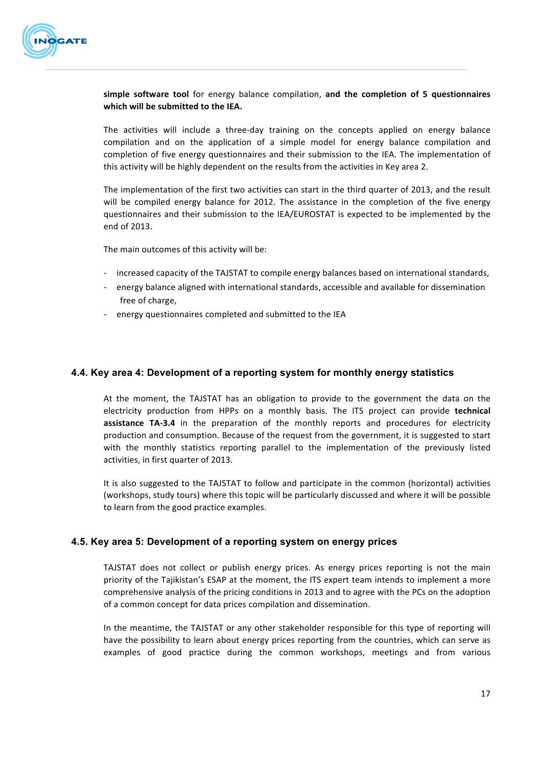

**simple software tool** for energy balance compilation, and the completion of 5 questionnaires which will be submitted to the IEA.

The activities will include a three-day training on the concepts applied on energy balance compilation and on the application of a simple model for energy balance compilation and completion of five energy questionnaires and their submission to the IEA. The implementation of this activity will be highly dependent on the results from the activities in Key area 2.

The implementation of the first two activities can start in the third quarter of 2013, and the result will be compiled energy balance for 2012. The assistance in the completion of the five energy questionnaires and their submission to the IEA/EUROSTAT is expected to be implemented by the end of 2013.

The main outcomes of this activity will be:

- increased capacity of the TAJSTAT to compile energy balances based on international standards,
- energy balance aligned with international standards, accessible and available for dissemination free of charge,
- energy questionnaires completed and submitted to the IEA

#### **4.4. Key area 4: Development of a reporting system for monthly energy statistics**

At the moment, the TAJSTAT has an obligation to provide to the government the data on the electricity production from HPPs on a monthly basis. The ITS project can provide **technical assistance TA-3.4** in the preparation of the monthly reports and procedures for electricity production and consumption. Because of the request from the government, it is suggested to start with the monthly statistics reporting parallel to the implementation of the previously listed activities, in first quarter of 2013.

It is also suggested to the TAJSTAT to follow and participate in the common (horizontal) activities (workshops, study tours) where this topic will be particularly discussed and where it will be possible to learn from the good practice examples.

#### **4.5. Key area 5: Development of a reporting system on energy prices**

TAJSTAT does not collect or publish energy prices. As energy prices reporting is not the main priority of the Tajikistan's ESAP at the moment, the ITS expert team intends to implement a more comprehensive analysis of the pricing conditions in 2013 and to agree with the PCs on the adoption of a common concept for data prices compilation and dissemination.

In the meantime, the TAJSTAT or any other stakeholder responsible for this type of reporting will have the possibility to learn about energy prices reporting from the countries, which can serve as examples of good practice during the common workshops, meetings and from various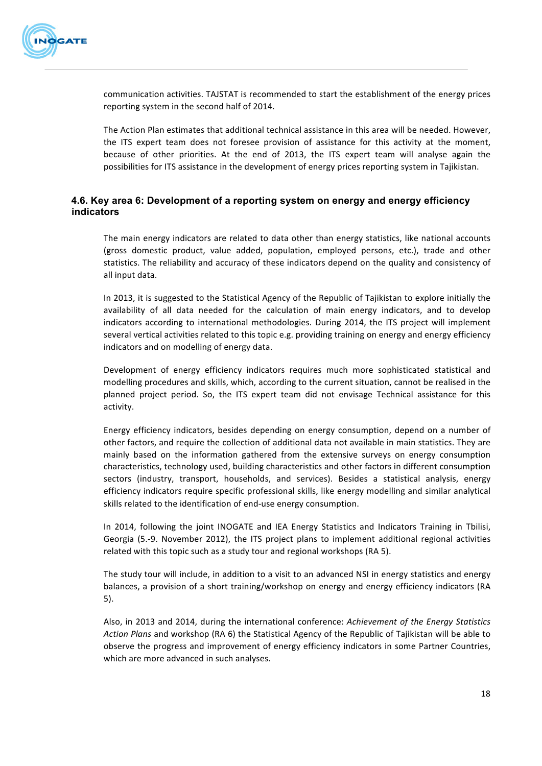

communication activities. TAJSTAT is recommended to start the establishment of the energy prices reporting system in the second half of 2014.

The Action Plan estimates that additional technical assistance in this area will be needed. However, the ITS expert team does not foresee provision of assistance for this activity at the moment, because of other priorities. At the end of 2013, the ITS expert team will analyse again the possibilities for ITS assistance in the development of energy prices reporting system in Tajikistan.

# **4.6. Key area 6: Development of a reporting system on energy and energy efficiency indicators**

The main energy indicators are related to data other than energy statistics, like national accounts (gross domestic product, value added, population, employed persons, etc.), trade and other statistics. The reliability and accuracy of these indicators depend on the quality and consistency of all input data.

In 2013, it is suggested to the Statistical Agency of the Republic of Tajikistan to explore initially the availability of all data needed for the calculation of main energy indicators, and to develop indicators according to international methodologies. During 2014, the ITS project will implement several vertical activities related to this topic e.g. providing training on energy and energy efficiency indicators and on modelling of energy data.

Development of energy efficiency indicators requires much more sophisticated statistical and modelling procedures and skills, which, according to the current situation, cannot be realised in the planned project period. So, the ITS expert team did not envisage Technical assistance for this activity. 

Energy efficiency indicators, besides depending on energy consumption, depend on a number of other factors, and require the collection of additional data not available in main statistics. They are mainly based on the information gathered from the extensive surveys on energy consumption characteristics, technology used, building characteristics and other factors in different consumption sectors (industry, transport, households, and services). Besides a statistical analysis, energy efficiency indicators require specific professional skills, like energy modelling and similar analytical skills related to the identification of end-use energy consumption.

In 2014, following the joint INOGATE and IEA Energy Statistics and Indicators Training in Tbilisi, Georgia (5.-9. November 2012), the ITS project plans to implement additional regional activities related with this topic such as a study tour and regional workshops (RA 5).

The study tour will include, in addition to a visit to an advanced NSI in energy statistics and energy balances, a provision of a short training/workshop on energy and energy efficiency indicators (RA 5).

Also, in 2013 and 2014, during the international conference: *Achievement of the Energy Statistics* Action Plans and workshop (RA 6) the Statistical Agency of the Republic of Tajikistan will be able to observe the progress and improvement of energy efficiency indicators in some Partner Countries, which are more advanced in such analyses.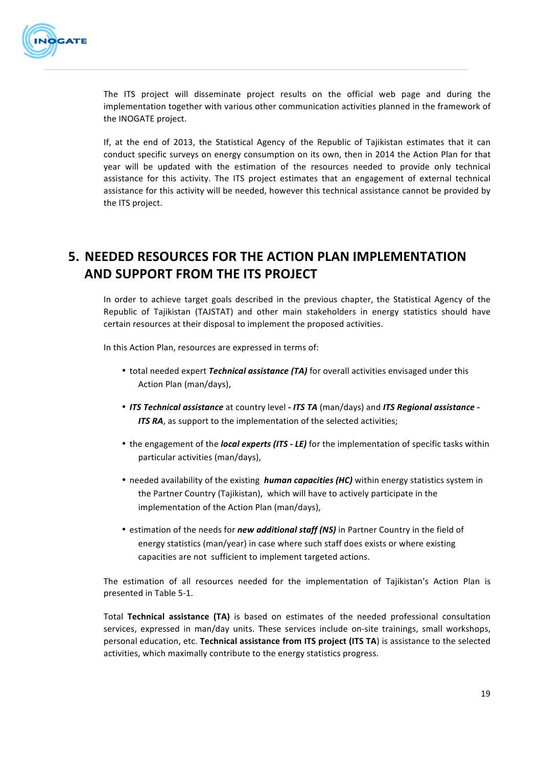

The ITS project will disseminate project results on the official web page and during the implementation together with various other communication activities planned in the framework of the INOGATE project.

If, at the end of 2013, the Statistical Agency of the Republic of Tajikistan estimates that it can conduct specific surveys on energy consumption on its own, then in 2014 the Action Plan for that year will be updated with the estimation of the resources needed to provide only technical assistance for this activity. The ITS project estimates that an engagement of external technical assistance for this activity will be needed, however this technical assistance cannot be provided by the ITS project.

# **5. NEEDED RESOURCES FOR THE ACTION PLAN IMPLEMENTATION AND SUPPORT FROM THE ITS PROJECT**

In order to achieve target goals described in the previous chapter, the Statistical Agency of the Republic of Tajikistan (TAJSTAT) and other main stakeholders in energy statistics should have certain resources at their disposal to implement the proposed activities.

In this Action Plan, resources are expressed in terms of:

- total needed expert *Technical assistance* (TA) for overall activities envisaged under this Action Plan (man/days),
- *ITS Technical assistance* at country level  *ITS TA* (man/days) and *ITS Regional assistance -***ITS RA**, as support to the implementation of the selected activities;
- the engagement of the *local experts (ITS LE)* for the implementation of specific tasks within particular activities (man/days),
- needed availability of the existing *human capacities* (HC) within energy statistics system in the Partner Country (Tajikistan), which will have to actively participate in the implementation of the Action Plan (man/days),
- estimation of the needs for *new additional staff (NS)* in Partner Country in the field of energy statistics (man/year) in case where such staff does exists or where existing capacities are not sufficient to implement targeted actions.

The estimation of all resources needed for the implementation of Tajikistan's Action Plan is presented in Table 5-1.

Total Technical assistance (TA) is based on estimates of the needed professional consultation services, expressed in man/day units. These services include on-site trainings, small workshops, personal education, etc. Technical assistance from ITS project (ITS TA) is assistance to the selected activities, which maximally contribute to the energy statistics progress.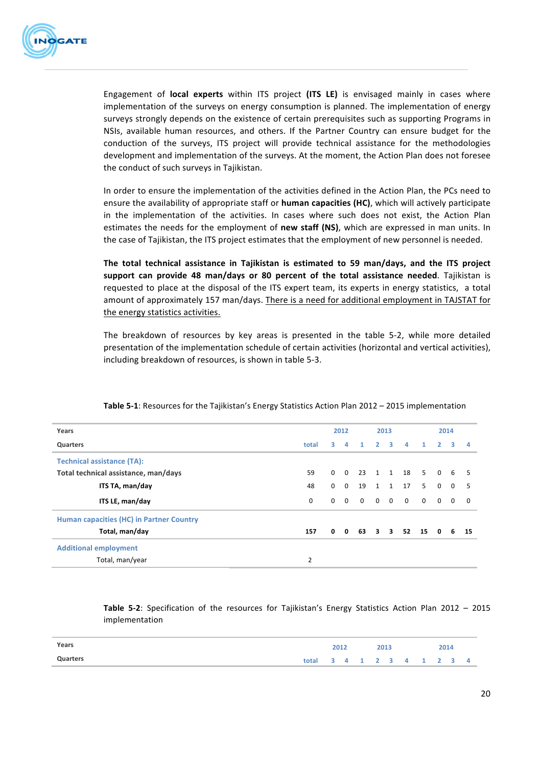

Engagement of local experts within ITS project (ITS LE) is envisaged mainly in cases where implementation of the surveys on energy consumption is planned. The implementation of energy surveys strongly depends on the existence of certain prerequisites such as supporting Programs in NSIs, available human resources, and others. If the Partner Country can ensure budget for the conduction of the surveys, ITS project will provide technical assistance for the methodologies development and implementation of the surveys. At the moment, the Action Plan does not foresee the conduct of such surveys in Tajikistan.

In order to ensure the implementation of the activities defined in the Action Plan, the PCs need to ensure the availability of appropriate staff or **human capacities (HC)**, which will actively participate in the implementation of the activities. In cases where such does not exist, the Action Plan estimates the needs for the employment of **new staff (NS)**, which are expressed in man units. In the case of Tajikistan, the ITS project estimates that the employment of new personnel is needed.

The total technical assistance in Tajikistan is estimated to 59 man/days, and the ITS project **support can provide 48 man/days or 80 percent of the total assistance needed. Tajikistan is** requested to place at the disposal of the ITS expert team, its experts in energy statistics, a total amount of approximately 157 man/days. There is a need for additional employment in TAJSTAT for the energy statistics activities.

The breakdown of resources by key areas is presented in the table 5-2, while more detailed presentation of the implementation schedule of certain activities (horizontal and vertical activities), including breakdown of resources, is shown in table 5-3.

| Years                                    | 2012<br>2013   |          |                |              |                         | 2014                    |                |                |                         |          |                |
|------------------------------------------|----------------|----------|----------------|--------------|-------------------------|-------------------------|----------------|----------------|-------------------------|----------|----------------|
| Quarters                                 | total          | 3.       | 4              | $\mathbf{1}$ | $\overline{\mathbf{2}}$ | $\overline{\mathbf{3}}$ | $\overline{a}$ | $\mathbf{1}$   | $\overline{\mathbf{2}}$ | 3        | $\overline{a}$ |
| <b>Technical assistance (TA):</b>        |                |          |                |              |                         |                         |                |                |                         |          |                |
| Total technical assistance, man/days     | 59             | $\Omega$ | $\overline{0}$ |              |                         |                         | 23 1 1 18      | 5 <sup>1</sup> | $\Omega$                |          | 6 5            |
| ITS TA, man/day                          | 48             | $\Omega$ | $\mathbf 0$    | 19           | $\overline{\mathbf{1}}$ |                         | 1 17           | 5              | $\mathbf 0$             | $\Omega$ | -5             |
| ITS LE, man/day                          | $\mathbf 0$    | $\Omega$ | $\Omega$       | $\Omega$     | $0\quad 0$              |                         | $\overline{0}$ | $\Omega$       | $\Omega$                | $\Omega$ | $\Omega$       |
| Human capacities (HC) in Partner Country |                |          |                |              |                         |                         |                |                |                         |          |                |
| Total, man/day                           | 157            | 0        | $\mathbf{0}$   | 63           | $\overline{\mathbf{3}}$ |                         | 3 52 15        |                | $\mathbf{0}$            | 6        | 15             |
| <b>Additional employment</b>             |                |          |                |              |                         |                         |                |                |                         |          |                |
| Total, man/year                          | $\overline{2}$ |          |                |              |                         |                         |                |                |                         |          |                |

**Table 5-1:** Resources for the Tajikistan's Energy Statistics Action Plan 2012 – 2015 implementation

**Table 5-2**: Specification of the resources for Tajikistan's Energy Statistics Action Plan 2012 – 2015 implementation

| Years    |                           | 2012 |  | 2013 |  | 2014 |  |
|----------|---------------------------|------|--|------|--|------|--|
| Quarters | total 3 4 1 2 3 4 1 2 3 4 |      |  |      |  |      |  |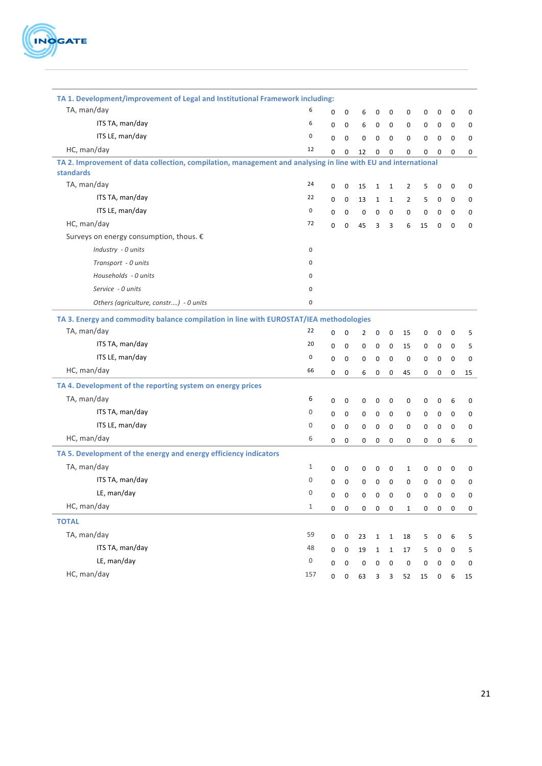

| TA 1. Development/improvement of Legal and Institutional Framework including:                                              |       |             |             |             |              |              |                |             |   |              |             |
|----------------------------------------------------------------------------------------------------------------------------|-------|-------------|-------------|-------------|--------------|--------------|----------------|-------------|---|--------------|-------------|
| TA, man/day                                                                                                                | 6     | 0           | 0           | 6           | $\mathbf 0$  | 0            | 0              | 0           | 0 | 0            | 0           |
| ITS TA, man/day                                                                                                            | 6     | $\mathbf 0$ | 0           | 6           | $\pmb{0}$    | 0            | 0              | 0           | 0 | 0            | 0           |
| ITS LE, man/day                                                                                                            | 0     | $\mathbf 0$ | $\mathbf 0$ | 0           | $\mathbf 0$  | $\mathbf 0$  | $\mathbf 0$    | $\mathbf 0$ | 0 | $\mathbf{0}$ | 0           |
| HC, man/day                                                                                                                | 12    | 0           | 0           | 12          | 0            | $\mathbf 0$  | 0              | $\mathbf 0$ | 0 | $\mathbf 0$  | 0           |
| TA 2. Improvement of data collection, compilation, management and analysing in line with EU and international<br>standards |       |             |             |             |              |              |                |             |   |              |             |
| TA, man/day                                                                                                                | 24    | 0           | $\pmb{0}$   | 15          | $\mathbf 1$  | $1\,$        | $\overline{2}$ | 5           | 0 | 0            | 0           |
| ITS TA, man/day                                                                                                            | 22    | 0           | 0           | 13          | $\mathbf{1}$ | $\mathbf{1}$ | $\overline{2}$ | 5           | 0 | 0            | 0           |
| ITS LE, man/day                                                                                                            | 0     | $\mathbf 0$ | $\mathbf 0$ | 0           | $\mathbf 0$  | 0            | 0              | 0           | 0 | $\mathbf 0$  | 0           |
| HC, man/day                                                                                                                | 72    | $\Omega$    | $\mathbf 0$ | 45          | 3            | 3            | 6              | 15          | 0 | $\mathbf 0$  | $\mathbf 0$ |
| Surveys on energy consumption, thous. €                                                                                    |       |             |             |             |              |              |                |             |   |              |             |
| Industry - 0 units                                                                                                         | 0     |             |             |             |              |              |                |             |   |              |             |
| Transport - 0 units                                                                                                        | 0     |             |             |             |              |              |                |             |   |              |             |
| Households - 0 units                                                                                                       | 0     |             |             |             |              |              |                |             |   |              |             |
| Service - 0 units                                                                                                          | 0     |             |             |             |              |              |                |             |   |              |             |
| Others (agriculture, constr) - 0 units                                                                                     | 0     |             |             |             |              |              |                |             |   |              |             |
| TA 3. Energy and commodity balance compilation in line with EUROSTAT/IEA methodologies                                     |       |             |             |             |              |              |                |             |   |              |             |
| TA, man/day                                                                                                                | 22    | 0           | 0           | 2           | 0            | 0            | 15             | 0           | 0 | 0            | 5           |
| ITS TA, man/day                                                                                                            | 20    | 0           | $\mathbf 0$ | 0           | $\mathbf 0$  | $\mathbf 0$  | 15             | 0           | 0 | $\mathbf 0$  | 5           |
| ITS LE, man/day                                                                                                            | 0     | 0           | $\mathbf 0$ | 0           | 0            | $\mathbf 0$  | $\mathbf 0$    | 0           | 0 | 0            | 0           |
| HC, man/day                                                                                                                | 66    | $\mathbf 0$ | $\mathbf 0$ | 6           | $\pmb{0}$    | $\mathbf 0$  | 45             | $\mathbf 0$ | 0 | $\mathbf 0$  | 15          |
| TA 4. Development of the reporting system on energy prices                                                                 |       |             |             |             |              |              |                |             |   |              |             |
| TA, man/day                                                                                                                | 6     | 0           | 0           | 0           | 0            | 0            | 0              | 0           | 0 | 6            | 0           |
| ITS TA, man/day                                                                                                            | 0     | $\mathbf 0$ | $\mathbf 0$ | 0           | 0            | $\mathbf 0$  | 0              | 0           | 0 | 0            | 0           |
| ITS LE, man/day                                                                                                            | 0     | 0           | $\mathbf 0$ | 0           | $\pmb{0}$    | $\mathbf 0$  | 0              | 0           | 0 | $\mathbf 0$  | 0           |
| HC, man/day                                                                                                                | 6     | 0           | 0           | 0           | 0            | $\mathbf 0$  | 0              | 0           | 0 | 6            | 0           |
| TA 5. Development of the energy and energy efficiency indicators                                                           |       |             |             |             |              |              |                |             |   |              |             |
| TA, man/day                                                                                                                | 1     | 0           | 0           | 0           | 0            | 0            | $\mathbf{1}$   | 0           | 0 | 0            | 0           |
| ITS TA, man/day                                                                                                            | 0     | $\mathbf 0$ | $\pmb{0}$   | 0           | $\mathbf 0$  | $\mathbf 0$  | $\pmb{0}$      | $\pmb{0}$   | 0 | $\mathbf 0$  | 0           |
| LE, man/day                                                                                                                | 0     | 0           | 0           | 0           | 0            | 0            | 0              | 0           | 0 | 0            | 0           |
| HC, man/day                                                                                                                | $1\,$ | 0           | $\mathbf 0$ | 0           | $\mathbf 0$  | 0            | $\mathbf{1}$   | 0           | 0 | 0            | 0           |
| <b>TOTAL</b>                                                                                                               |       |             |             |             |              |              |                |             |   |              |             |
| TA, man/day                                                                                                                | 59    | $\pmb{0}$   | $\mathbf 0$ | 23          | $\mathbf{1}$ | $\mathbf{1}$ | 18             | 5           | 0 | 6            | 5           |
| ITS TA, man/day                                                                                                            | 48    | 0           | 0           | 19          | $\mathbf{1}$ | $\mathbf 1$  | 17             | 5           | 0 | 0            | 5           |
| LE, man/day                                                                                                                | 0     | $\mathbf 0$ | $\mathbf 0$ | $\mathbf 0$ | $\pmb{0}$    | $\mathbf 0$  | $\pmb{0}$      | $\pmb{0}$   | 0 | 0            | 0           |
| HC, man/day                                                                                                                | 157   | 0           | 0           | 63          | 3            | 3            | 52             | 15          | 0 | 6            | 15          |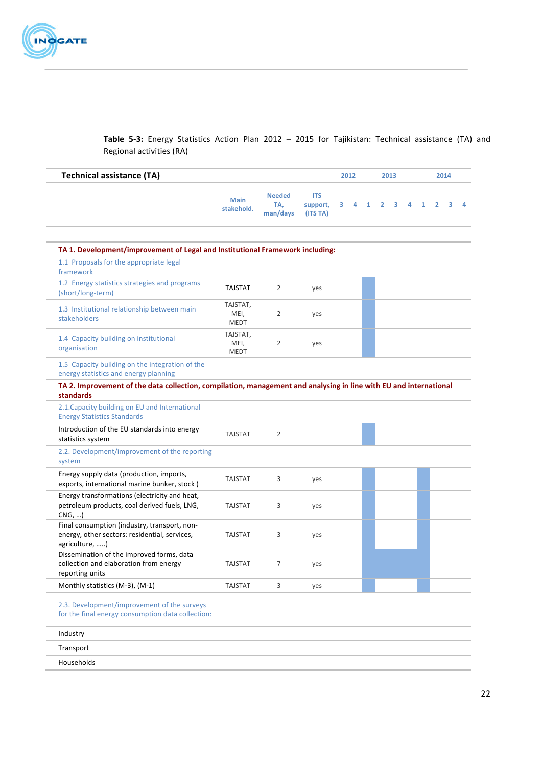

Table 5-3: Energy Statistics Action Plan 2012 - 2015 for Tajikistan: Technical assistance (TA) and Regional activities (RA)

| <b>Needed</b><br>TA.<br>man/days<br>2<br>$\overline{2}$<br>$\overline{2}$ | <b>ITS</b><br>support,<br>(ITS TA)<br>TA 1. Development/improvement of Legal and Institutional Framework including:<br>yes<br>yes<br>yes | 3<br>4 | $\mathbf{1}$ | $\overline{2}$ | 3 | 4 | 1 | $\overline{2}$ | 3 | Δ |
|---------------------------------------------------------------------------|------------------------------------------------------------------------------------------------------------------------------------------|--------|--------------|----------------|---|---|---|----------------|---|---|
|                                                                           |                                                                                                                                          |        |              |                |   |   |   |                |   |   |
|                                                                           |                                                                                                                                          |        |              |                |   |   |   |                |   |   |
|                                                                           |                                                                                                                                          |        |              |                |   |   |   |                |   |   |
|                                                                           |                                                                                                                                          |        |              |                |   |   |   |                |   |   |
|                                                                           |                                                                                                                                          |        |              |                |   |   |   |                |   |   |
|                                                                           |                                                                                                                                          |        |              |                |   |   |   |                |   |   |
|                                                                           |                                                                                                                                          |        |              |                |   |   |   |                |   |   |
|                                                                           | TA 2. Improvement of the data collection, compilation, management and analysing in line with EU and international                        |        |              |                |   |   |   |                |   |   |
| $\overline{2}$                                                            |                                                                                                                                          |        |              |                |   |   |   |                |   |   |
|                                                                           |                                                                                                                                          |        |              |                |   |   |   |                |   |   |
| 3                                                                         | yes                                                                                                                                      |        |              |                |   |   |   |                |   |   |
| 3                                                                         | yes                                                                                                                                      |        |              |                |   |   |   |                |   |   |
| 3                                                                         | yes                                                                                                                                      |        |              |                |   |   |   |                |   |   |
|                                                                           | yes                                                                                                                                      |        |              |                |   |   |   |                |   |   |
| 7                                                                         | yes                                                                                                                                      |        |              |                |   |   |   |                |   |   |
|                                                                           | 3                                                                                                                                        |        |              |                |   |   |   |                |   |   |

Industry **Department of the Community Community** of the Community Community Community Community Community Community Transport Households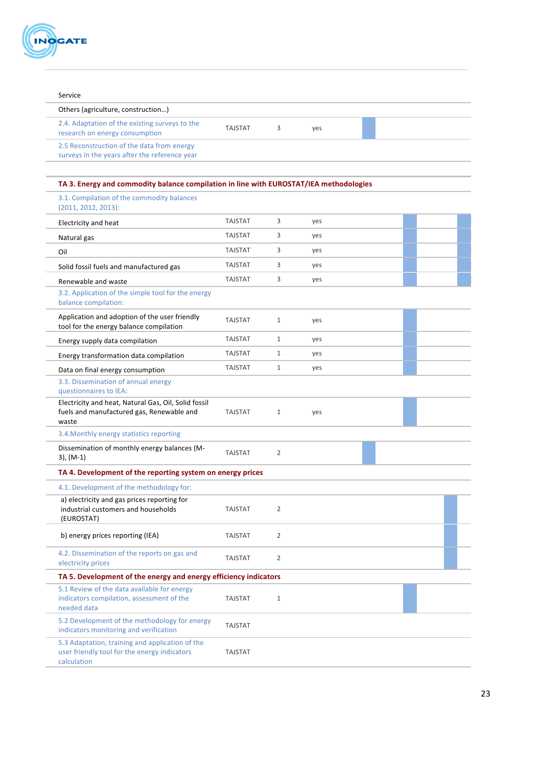

| Service                                                                                                        |                |                |     |  |  |
|----------------------------------------------------------------------------------------------------------------|----------------|----------------|-----|--|--|
| Others (agriculture, construction)                                                                             |                |                |     |  |  |
| 2.4. Adaptation of the existing surveys to the<br>research on energy consumption                               | <b>TAJSTAT</b> | 3              | yes |  |  |
| 2.5 Reconstruction of the data from energy<br>surveys in the years after the reference year                    |                |                |     |  |  |
| TA 3. Energy and commodity balance compilation in line with EUROSTAT/IEA methodologies                         |                |                |     |  |  |
| 3.1. Compilation of the commodity balances<br>$(2011, 2012, 2013)$ :                                           |                |                |     |  |  |
| Electricity and heat                                                                                           | <b>TAJSTAT</b> | 3              | yes |  |  |
| Natural gas                                                                                                    | <b>TAJSTAT</b> | 3              | yes |  |  |
| Oil                                                                                                            | <b>TAJSTAT</b> | 3              | yes |  |  |
| Solid fossil fuels and manufactured gas                                                                        | <b>TAJSTAT</b> | 3              | yes |  |  |
| Renewable and waste                                                                                            | <b>TAJSTAT</b> | 3              | yes |  |  |
| 3.2. Application of the simple tool for the energy<br>balance compilation:                                     |                |                |     |  |  |
| Application and adoption of the user friendly<br>tool for the energy balance compilation                       | <b>TAJSTAT</b> | 1              | yes |  |  |
| Energy supply data compilation                                                                                 | <b>TAJSTAT</b> | 1              | yes |  |  |
| Energy transformation data compilation                                                                         | <b>TAJSTAT</b> | $\mathbf{1}$   | yes |  |  |
| Data on final energy consumption                                                                               | <b>TAJSTAT</b> | $\mathbf{1}$   | yes |  |  |
| 3.3. Dissemination of annual energy<br>questionnaires to IEA:                                                  |                |                |     |  |  |
| Electricity and heat, Natural Gas, Oil, Solid fossil<br>fuels and manufactured gas, Renewable and<br>waste     | <b>TAJSTAT</b> | $\mathbf{1}$   | yes |  |  |
| 3.4. Monthly energy statistics reporting                                                                       |                |                |     |  |  |
| Dissemination of monthly energy balances (M-<br>$3)$ , (M-1)                                                   | <b>TAJSTAT</b> | $\overline{2}$ |     |  |  |
| TA 4. Development of the reporting system on energy prices                                                     |                |                |     |  |  |
| 4.1. Development of the methodology for:                                                                       |                |                |     |  |  |
| a) electricity and gas prices reporting for<br>industrial customers and households<br>(EUROSTAT)               | <b>TAJSTAT</b> | 2              |     |  |  |
| b) energy prices reporting (IEA)                                                                               | <b>TAJSTAT</b> | 2              |     |  |  |
| 4.2. Dissemination of the reports on gas and<br>electricity prices                                             | <b>TAJSTAT</b> | 2              |     |  |  |
| TA 5. Development of the energy and energy efficiency indicators                                               |                |                |     |  |  |
| 5.1 Review of the data available for energy<br>indicators compilation, assessment of the<br>needed data        | <b>TAJSTAT</b> | $\mathbf{1}$   |     |  |  |
| 5.2 Development of the methodology for energy<br>indicators monitoring and verification                        | <b>TAJSTAT</b> |                |     |  |  |
| 5.3 Adaptation, training and application of the<br>user friendly tool for the energy indicators<br>calculation | <b>TAJSTAT</b> |                |     |  |  |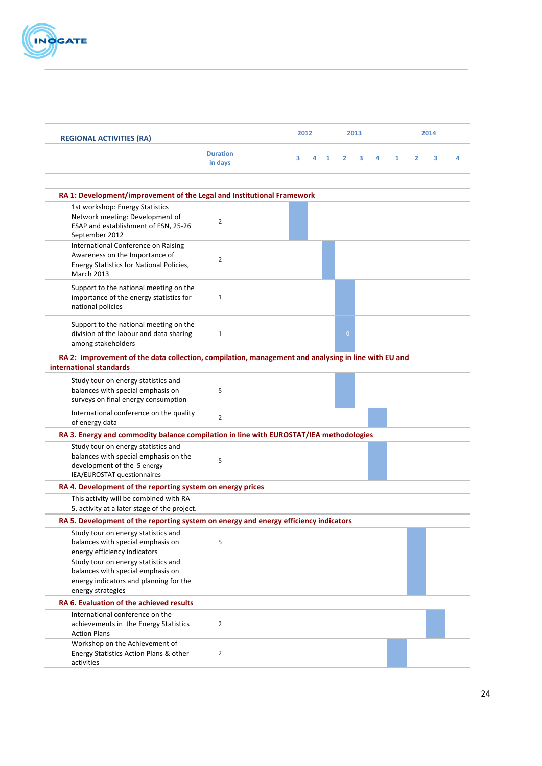

| <b>REGIONAL ACTIVITIES (RA)</b>                                                                                                            |                            | 2012 |   | 2013         |                |   |   | 2014         |                |   |   |
|--------------------------------------------------------------------------------------------------------------------------------------------|----------------------------|------|---|--------------|----------------|---|---|--------------|----------------|---|---|
|                                                                                                                                            | <b>Duration</b><br>in days | з    | 4 | $\mathbf{1}$ | $\overline{2}$ | 3 | 4 | $\mathbf{1}$ | $\overline{2}$ | 3 | 4 |
| RA 1: Development/improvement of the Legal and Institutional Framework                                                                     |                            |      |   |              |                |   |   |              |                |   |   |
| 1st workshop: Energy Statistics                                                                                                            |                            |      |   |              |                |   |   |              |                |   |   |
| Network meeting: Development of<br>ESAP and establishment of ESN, 25-26<br>September 2012                                                  | $\overline{2}$             |      |   |              |                |   |   |              |                |   |   |
| International Conference on Raising<br>Awareness on the Importance of<br>Energy Statistics for National Policies,<br><b>March 2013</b>     | $\overline{2}$             |      |   |              |                |   |   |              |                |   |   |
| Support to the national meeting on the<br>importance of the energy statistics for<br>national policies                                     | $\mathbf{1}$               |      |   |              |                |   |   |              |                |   |   |
| Support to the national meeting on the<br>division of the labour and data sharing<br>among stakeholders                                    | $\mathbf{1}$               |      |   |              | $\overline{0}$ |   |   |              |                |   |   |
| RA 2: Improvement of the data collection, compilation, management and analysing in line with EU and<br>international standards             |                            |      |   |              |                |   |   |              |                |   |   |
| Study tour on energy statistics and<br>balances with special emphasis on<br>surveys on final energy consumption                            | 5                          |      |   |              |                |   |   |              |                |   |   |
| International conference on the quality<br>of energy data                                                                                  | $\overline{2}$             |      |   |              |                |   |   |              |                |   |   |
| RA 3. Energy and commodity balance compilation in line with EUROSTAT/IEA methodologies                                                     |                            |      |   |              |                |   |   |              |                |   |   |
| Study tour on energy statistics and<br>balances with special emphasis on the<br>development of the 5 energy<br>IEA/EUROSTAT questionnaires | 5                          |      |   |              |                |   |   |              |                |   |   |
| RA 4. Development of the reporting system on energy prices                                                                                 |                            |      |   |              |                |   |   |              |                |   |   |
| This activity will be combined with RA<br>5. activity at a later stage of the project.                                                     |                            |      |   |              |                |   |   |              |                |   |   |
| RA 5. Development of the reporting system on energy and energy efficiency indicators                                                       |                            |      |   |              |                |   |   |              |                |   |   |
| Study tour on energy statistics and<br>balances with special emphasis on<br>energy efficiency indicators                                   | 5                          |      |   |              |                |   |   |              |                |   |   |
| Study tour on energy statistics and<br>balances with special emphasis on<br>energy indicators and planning for the<br>energy strategies    |                            |      |   |              |                |   |   |              |                |   |   |
| RA 6. Evaluation of the achieved results                                                                                                   |                            |      |   |              |                |   |   |              |                |   |   |
| International conference on the<br>achievements in the Energy Statistics<br><b>Action Plans</b>                                            | $\overline{2}$             |      |   |              |                |   |   |              |                |   |   |
| Workshop on the Achievement of<br>Energy Statistics Action Plans & other<br>activities                                                     | $\overline{2}$             |      |   |              |                |   |   |              |                |   |   |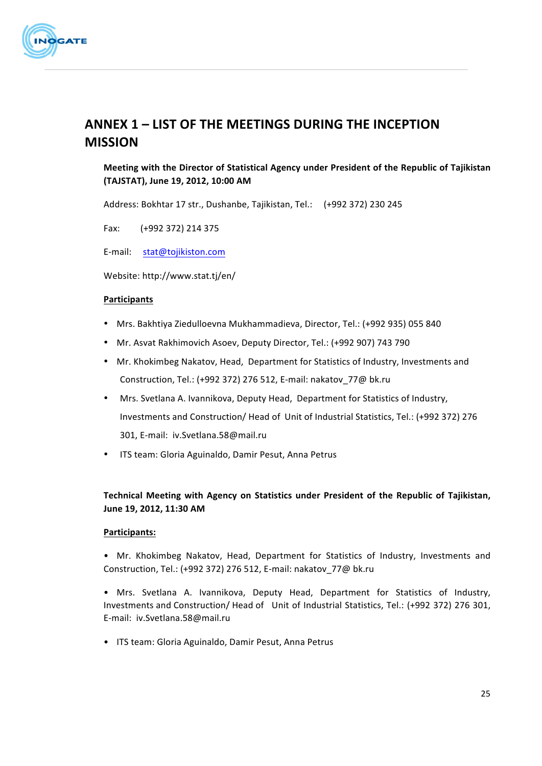

# **ANNEX 1 – LIST OF THE MEETINGS DURING THE INCEPTION MISSION**

# **Meeting with the Director of Statistical Agency under President of the Republic of Tajikistan (TAJSTAT), June 19, 2012, 10:00 AM**

Address: Bokhtar 17 str., Dushanbe, Tajikistan, Tel.: (+992 372) 230 245

Fax: (+992 372) 214 375

E-mail: stat@tojikiston.com

Website: http://www.stat.tj/en/

#### **Participants**

- Mrs. Bakhtiya Ziedulloevna Mukhammadieva, Director, Tel.: (+992 935) 055 840
- Mr. Asvat Rakhimovich Asoev, Deputy Director, Tel.: (+992 907) 743 790
- Mr. Khokimbeg Nakatov, Head, Department for Statistics of Industry, Investments and Construction, Tel.: (+992 372) 276 512, E-mail: nakatov 77@ bk.ru
- Mrs. Svetlana A. Ivannikova, Deputy Head, Department for Statistics of Industry, Investments and Construction/ Head of Unit of Industrial Statistics, Tel.: (+992 372) 276 301, E-mail: iv.Svetlana.58@mail.ru
- ITS team: Gloria Aguinaldo, Damir Pesut, Anna Petrus

### Technical Meeting with Agency on Statistics under President of the Republic of Tajikistan, June 19, 2012, 11:30 AM

#### **Participants:**

• Mr. Khokimbeg Nakatov, Head, Department for Statistics of Industry, Investments and Construction, Tel.: (+992 372) 276 512, E-mail: nakatov\_77@ bk.ru

• Mrs. Svetlana A. Ivannikova, Deputy Head, Department for Statistics of Industry, Investments and Construction/ Head of Unit of Industrial Statistics, Tel.: (+992 372) 276 301, E-mail: iv.Svetlana.58@mail.ru

• ITS team: Gloria Aguinaldo, Damir Pesut, Anna Petrus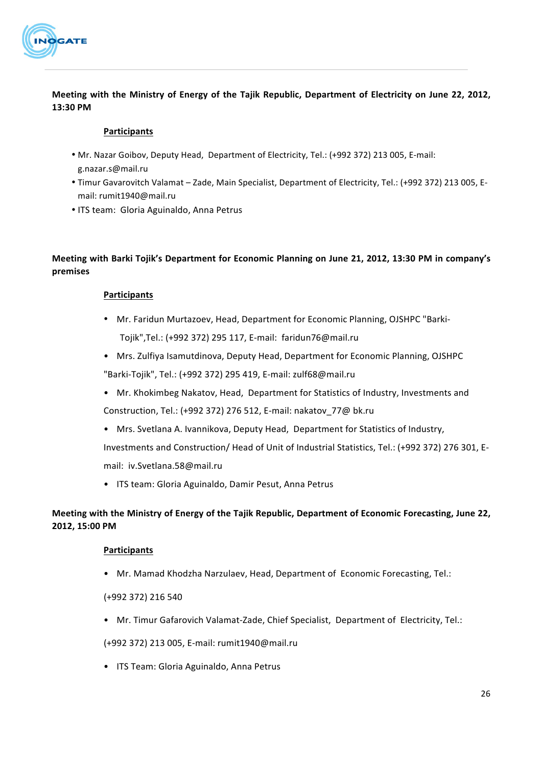

**Meeting with the Ministry of Energy of the Tajik Republic, Department of Electricity on June 22, 2012, 13:30 PM**

#### **Participants**

- Mr. Nazar Goibov, Deputy Head, Department of Electricity, Tel.: (+992 372) 213 005, E-mail: g.nazar.s@mail.ru
- Timur Gavarovitch Valamat Zade, Main Specialist, Department of Electricity, Tel.: (+992 372) 213 005, Email: rumit1940@mail.ru
- ITS team: Gloria Aguinaldo, Anna Petrus

# Meeting with Barki Tojik's Department for Economic Planning on June 21, 2012, 13:30 PM in company's **premises**

#### **Participants**

- Mr. Faridun Murtazoev, Head, Department for Economic Planning, OJSHPC "Barki-Tojik",Tel.: (+992 372) 295 117, E-mail: faridun76@mail.ru
- Mrs. Zulfiya Isamutdinova, Deputy Head, Department for Economic Planning, OJSHPC "Barki-Tojik", Tel.: (+992 372) 295 419, E-mail: zulf68@mail.ru
- Mr. Khokimbeg Nakatov, Head, Department for Statistics of Industry, Investments and Construction, Tel.: (+992 372) 276 512, E-mail: nakatov 77@ bk.ru
- Mrs. Svetlana A. Ivannikova, Deputy Head, Department for Statistics of Industry,

Investments and Construction/ Head of Unit of Industrial Statistics, Tel.: (+992 372) 276 301, Email: iv.Svetlana.58@mail.ru

• ITS team: Gloria Aguinaldo, Damir Pesut, Anna Petrus

# **Meeting with the Ministry of Energy of the Taiik Republic, Department of Economic Forecasting, June 22, 2012, 15:00 PM**

#### **Participants**

• Mr. Mamad Khodzha Narzulaev, Head, Department of Economic Forecasting, Tel.:

(+992 372) 216 540

• Mr. Timur Gafarovich Valamat-Zade, Chief Specialist, Department of Electricity, Tel.:

(+992 372) 213 005, E-mail: rumit1940@mail.ru

• ITS Team: Gloria Aguinaldo, Anna Petrus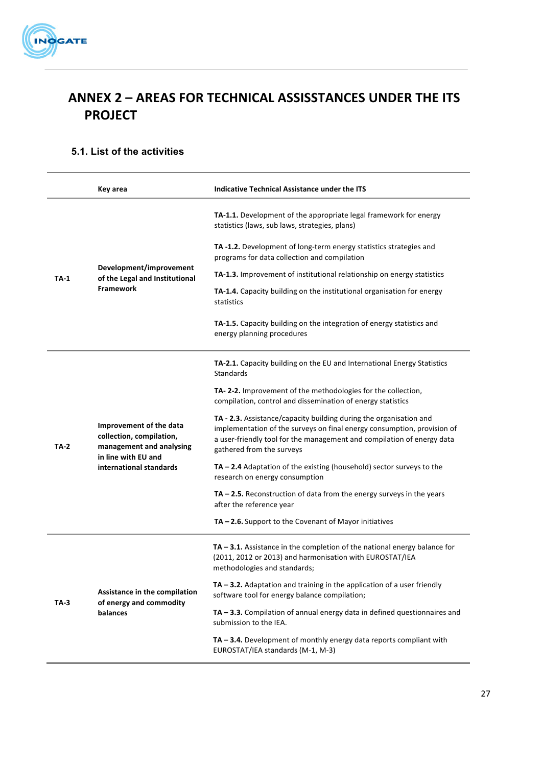

# **ANNEX 2 – AREAS FOR TECHNICAL ASSISSTANCES UNDER THE ITS PROJECT**

# **5.1. List of the activities**

|        | Key area                                                                                               | Indicative Technical Assistance under the ITS                                                                                                                                                                                                        |
|--------|--------------------------------------------------------------------------------------------------------|------------------------------------------------------------------------------------------------------------------------------------------------------------------------------------------------------------------------------------------------------|
|        |                                                                                                        | <b>TA-1.1.</b> Development of the appropriate legal framework for energy<br>statistics (laws, sub laws, strategies, plans)                                                                                                                           |
|        |                                                                                                        | TA-1.2. Development of long-term energy statistics strategies and<br>programs for data collection and compilation                                                                                                                                    |
| $TA-1$ | Development/improvement<br>of the Legal and Institutional                                              | <b>TA-1.3.</b> Improvement of institutional relationship on energy statistics                                                                                                                                                                        |
|        | <b>Framework</b>                                                                                       | <b>TA-1.4.</b> Capacity building on the institutional organisation for energy<br>statistics                                                                                                                                                          |
|        |                                                                                                        | TA-1.5. Capacity building on the integration of energy statistics and<br>energy planning procedures                                                                                                                                                  |
|        |                                                                                                        | TA-2.1. Capacity building on the EU and International Energy Statistics<br><b>Standards</b>                                                                                                                                                          |
|        |                                                                                                        | TA-2-2. Improvement of the methodologies for the collection,<br>compilation, control and dissemination of energy statistics                                                                                                                          |
| TA-2   | Improvement of the data<br>collection, compilation,<br>management and analysing<br>in line with EU and | TA - 2.3. Assistance/capacity building during the organisation and<br>implementation of the surveys on final energy consumption, provision of<br>a user-friendly tool for the management and compilation of energy data<br>gathered from the surveys |
|        | international standards                                                                                | $TA - 2.4$ Adaptation of the existing (household) sector surveys to the<br>research on energy consumption                                                                                                                                            |
|        |                                                                                                        | $TA - 2.5$ . Reconstruction of data from the energy surveys in the years<br>after the reference year                                                                                                                                                 |
|        |                                                                                                        | $TA - 2.6$ . Support to the Covenant of Mayor initiatives                                                                                                                                                                                            |
|        |                                                                                                        | $TA - 3.1$ . Assistance in the completion of the national energy balance for<br>(2011, 2012 or 2013) and harmonisation with EUROSTAT/IEA<br>methodologies and standards;                                                                             |
| TA-3   | Assistance in the compilation<br>of energy and commodity                                               | TA - 3.2. Adaptation and training in the application of a user friendly<br>software tool for energy balance compilation;                                                                                                                             |
|        | balances                                                                                               | TA - 3.3. Compilation of annual energy data in defined questionnaires and<br>submission to the IEA.                                                                                                                                                  |
|        |                                                                                                        | $TA - 3.4$ . Development of monthly energy data reports compliant with<br>EUROSTAT/IEA standards (M-1, M-3)                                                                                                                                          |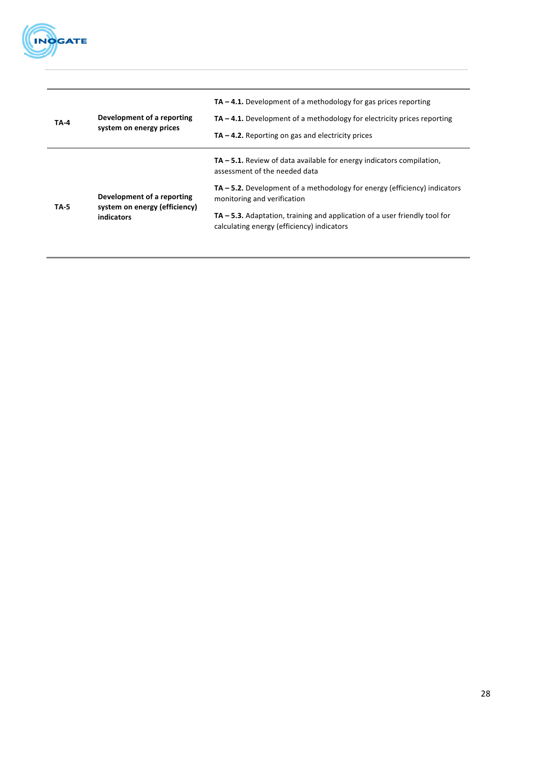

| <b>TA-4</b> | Development of a reporting<br>system on energy prices       | $TA - 4.1$ . Development of a methodology for gas prices reporting<br>$TA - 4.1$ . Development of a methodology for electricity prices reporting<br>$TA - 4.2$ . Reporting on gas and electricity prices |
|-------------|-------------------------------------------------------------|----------------------------------------------------------------------------------------------------------------------------------------------------------------------------------------------------------|
|             |                                                             | $TA - 5.1$ . Review of data available for energy indicators compilation,<br>assessment of the needed data                                                                                                |
| <b>TA-5</b> | Development of a reporting<br>system on energy (efficiency) | $TA - 5.2$ . Development of a methodology for energy (efficiency) indicators<br>monitoring and verification                                                                                              |
|             | indicators                                                  | $TA - 5.3$ . Adaptation, training and application of a user friendly tool for<br>calculating energy (efficiency) indicators                                                                              |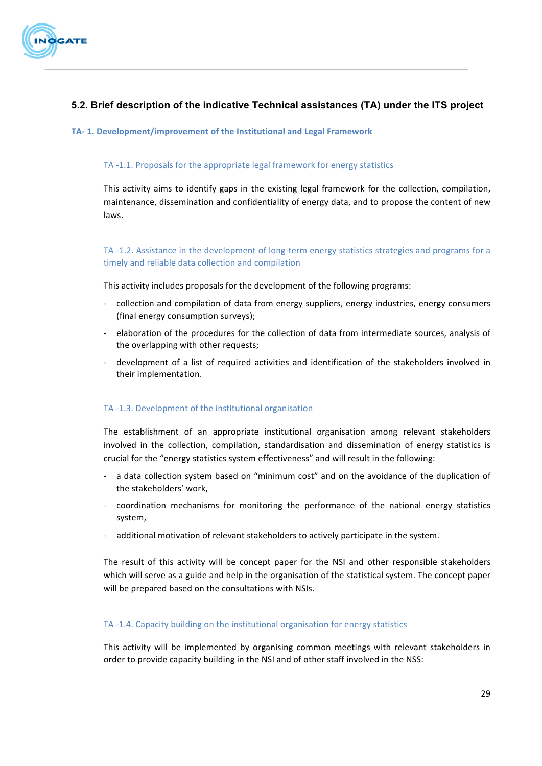

# **5.2. Brief description of the indicative Technical assistances (TA) under the ITS project**

#### TA-1. Development/improvement of the Institutional and Legal Framework

#### TA -1.1. Proposals for the appropriate legal framework for energy statistics

This activity aims to identify gaps in the existing legal framework for the collection, compilation, maintenance, dissemination and confidentiality of energy data, and to propose the content of new laws. 

TA -1.2. Assistance in the development of long-term energy statistics strategies and programs for a timely and reliable data collection and compilation

This activity includes proposals for the development of the following programs:

- collection and compilation of data from energy suppliers, energy industries, energy consumers (final energy consumption surveys);
- elaboration of the procedures for the collection of data from intermediate sources, analysis of the overlapping with other requests;
- development of a list of required activities and identification of the stakeholders involved in their implementation.

#### TA -1.3. Development of the institutional organisation

The establishment of an appropriate institutional organisation among relevant stakeholders involved in the collection, compilation, standardisation and dissemination of energy statistics is crucial for the "energy statistics system effectiveness" and will result in the following:

- a data collection system based on "minimum cost" and on the avoidance of the duplication of the stakeholders' work,
- coordination mechanisms for monitoring the performance of the national energy statistics system,
- additional motivation of relevant stakeholders to actively participate in the system.

The result of this activity will be concept paper for the NSI and other responsible stakeholders which will serve as a guide and help in the organisation of the statistical system. The concept paper will be prepared based on the consultations with NSIs.

#### TA -1.4. Capacity building on the institutional organisation for energy statistics

This activity will be implemented by organising common meetings with relevant stakeholders in order to provide capacity building in the NSI and of other staff involved in the NSS: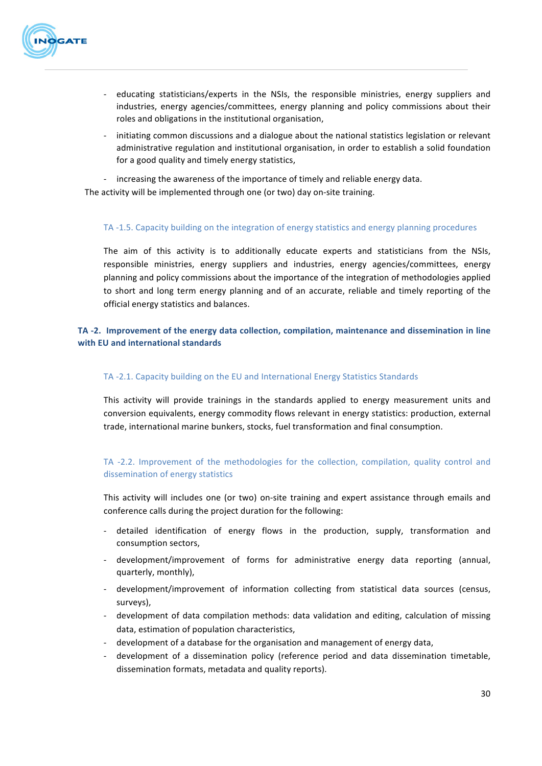

- educating statisticians/experts in the NSIs, the responsible ministries, energy suppliers and industries, energy agencies/committees, energy planning and policy commissions about their roles and obligations in the institutional organisation,
- initiating common discussions and a dialogue about the national statistics legislation or relevant administrative regulation and institutional organisation, in order to establish a solid foundation for a good quality and timely energy statistics,
- increasing the awareness of the importance of timely and reliable energy data.

The activity will be implemented through one (or two) day on-site training.

#### TA -1.5. Capacity building on the integration of energy statistics and energy planning procedures

The aim of this activity is to additionally educate experts and statisticians from the NSIs, responsible ministries, energy suppliers and industries, energy agencies/committees, energy planning and policy commissions about the importance of the integration of methodologies applied to short and long term energy planning and of an accurate, reliable and timely reporting of the official energy statistics and balances.

### TA -2. Improvement of the energy data collection, compilation, maintenance and dissemination in line with **EU** and international standards

#### TA -2.1. Capacity building on the EU and International Energy Statistics Standards

This activity will provide trainings in the standards applied to energy measurement units and conversion equivalents, energy commodity flows relevant in energy statistics: production, external trade, international marine bunkers, stocks, fuel transformation and final consumption.

### TA -2.2. Improvement of the methodologies for the collection, compilation, quality control and dissemination of energy statistics

This activity will includes one (or two) on-site training and expert assistance through emails and conference calls during the project duration for the following:

- detailed identification of energy flows in the production, supply, transformation and consumption sectors,
- development/improvement of forms for administrative energy data reporting (annual, quarterly, monthly),
- development/improvement of information collecting from statistical data sources (census, surveys),
- development of data compilation methods: data validation and editing, calculation of missing data, estimation of population characteristics,
- development of a database for the organisation and management of energy data,
- development of a dissemination policy (reference period and data dissemination timetable, dissemination formats, metadata and quality reports).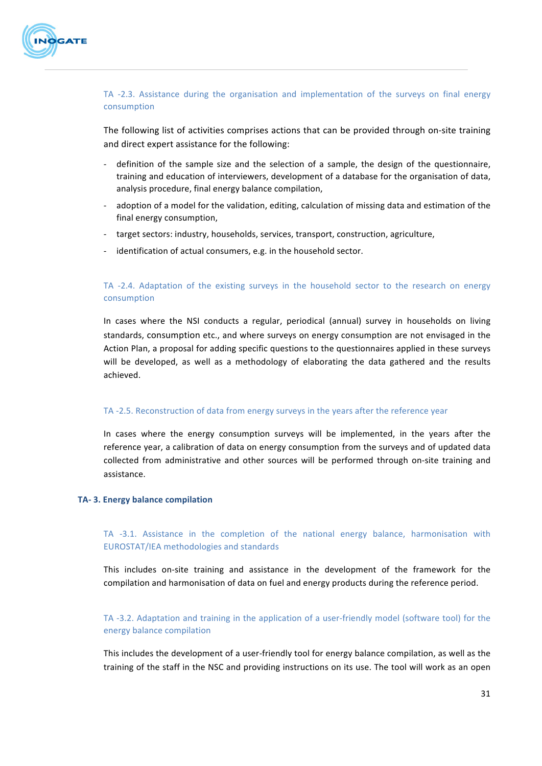

#### TA -2.3. Assistance during the organisation and implementation of the surveys on final energy consumption

The following list of activities comprises actions that can be provided through on-site training and direct expert assistance for the following:

- definition of the sample size and the selection of a sample, the design of the questionnaire, training and education of interviewers, development of a database for the organisation of data, analysis procedure, final energy balance compilation,
- adoption of a model for the validation, editing, calculation of missing data and estimation of the final energy consumption,
- target sectors: industry, households, services, transport, construction, agriculture,
- identification of actual consumers, e.g. in the household sector.

#### TA -2.4. Adaptation of the existing surveys in the household sector to the research on energy consumption

In cases where the NSI conducts a regular, periodical (annual) survey in households on living standards, consumption etc., and where surveys on energy consumption are not envisaged in the Action Plan, a proposal for adding specific questions to the questionnaires applied in these surveys will be developed, as well as a methodology of elaborating the data gathered and the results achieved.

#### TA -2.5. Reconstruction of data from energy surveys in the years after the reference year

In cases where the energy consumption surveys will be implemented, in the years after the reference year, a calibration of data on energy consumption from the surveys and of updated data collected from administrative and other sources will be performed through on-site training and assistance.

#### **TA- 3. Energy balance compilation**

TA -3.1. Assistance in the completion of the national energy balance, harmonisation with EUROSTAT/IEA methodologies and standards

This includes on-site training and assistance in the development of the framework for the compilation and harmonisation of data on fuel and energy products during the reference period.

TA -3.2. Adaptation and training in the application of a user-friendly model (software tool) for the energy balance compilation

This includes the development of a user-friendly tool for energy balance compilation, as well as the training of the staff in the NSC and providing instructions on its use. The tool will work as an open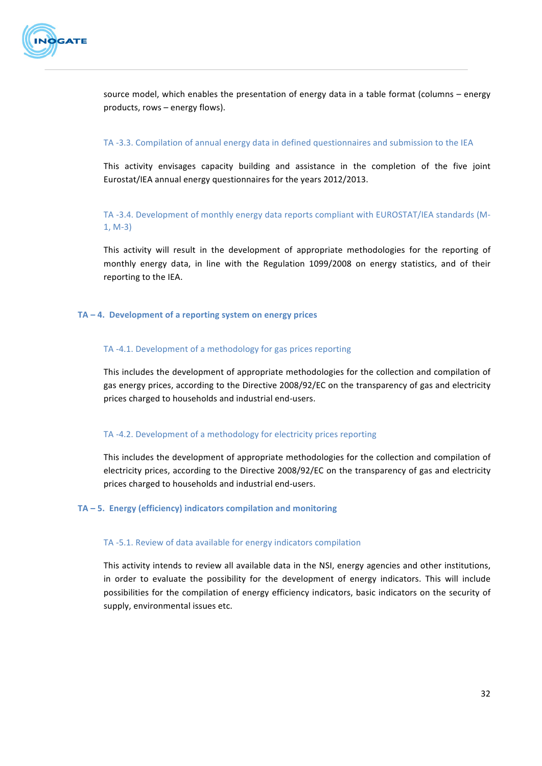

source model, which enables the presentation of energy data in a table format (columns – energy products, rows  $-$  energy flows).

#### TA -3.3. Compilation of annual energy data in defined questionnaires and submission to the IEA

This activity envisages capacity building and assistance in the completion of the five joint Eurostat/IEA annual energy questionnaires for the years 2012/2013.

TA -3.4. Development of monthly energy data reports compliant with EUROSTAT/IEA standards (M- $1, M-3)$ 

This activity will result in the development of appropriate methodologies for the reporting of monthly energy data, in line with the Regulation 1099/2008 on energy statistics, and of their reporting to the IEA.

#### **TA – 4. Development of a reporting system on energy prices**

#### TA -4.1. Development of a methodology for gas prices reporting

This includes the development of appropriate methodologies for the collection and compilation of gas energy prices, according to the Directive 2008/92/EC on the transparency of gas and electricity prices charged to households and industrial end-users.

#### TA -4.2. Development of a methodology for electricity prices reporting

This includes the development of appropriate methodologies for the collection and compilation of electricity prices, according to the Directive 2008/92/EC on the transparency of gas and electricity prices charged to households and industrial end-users.

#### TA – 5. Energy (efficiency) indicators compilation and monitoring

#### TA -5.1. Review of data available for energy indicators compilation

This activity intends to review all available data in the NSI, energy agencies and other institutions, in order to evaluate the possibility for the development of energy indicators. This will include possibilities for the compilation of energy efficiency indicators, basic indicators on the security of supply, environmental issues etc.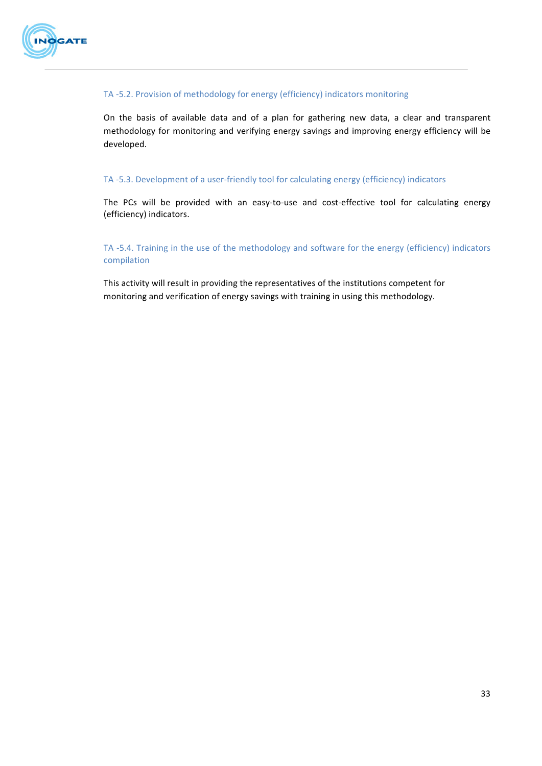

#### TA -5.2. Provision of methodology for energy (efficiency) indicators monitoring

On the basis of available data and of a plan for gathering new data, a clear and transparent methodology for monitoring and verifying energy savings and improving energy efficiency will be developed.

#### TA -5.3. Development of a user-friendly tool for calculating energy (efficiency) indicators

The PCs will be provided with an easy-to-use and cost-effective tool for calculating energy (efficiency) indicators.

TA -5.4. Training in the use of the methodology and software for the energy (efficiency) indicators compilation 

This activity will result in providing the representatives of the institutions competent for monitoring and verification of energy savings with training in using this methodology.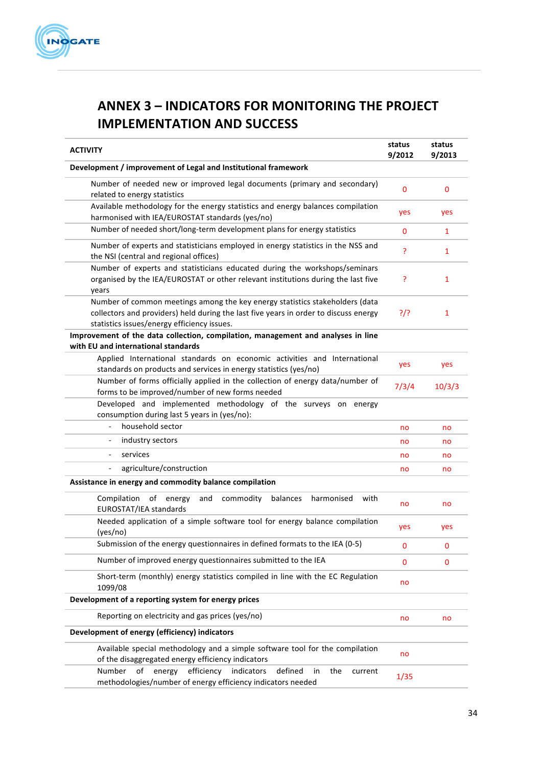

# **ANNEX 3 – INDICATORS FOR MONITORING THE PROJECT IMPLEMENTATION AND SUCCESS**

| <b>ACTIVITY</b>                                                                                                                                                                                                     | status<br>9/2012 | status<br>9/2013 |
|---------------------------------------------------------------------------------------------------------------------------------------------------------------------------------------------------------------------|------------------|------------------|
| Development / improvement of Legal and Institutional framework                                                                                                                                                      |                  |                  |
| Number of needed new or improved legal documents (primary and secondary)<br>related to energy statistics                                                                                                            | $\mathbf{0}$     | 0                |
| Available methodology for the energy statistics and energy balances compilation<br>harmonised with IEA/EUROSTAT standards (yes/no)                                                                                  | yes              | yes              |
| Number of needed short/long-term development plans for energy statistics                                                                                                                                            | $\mathbf{0}$     | $\mathbf{1}$     |
| Number of experts and statisticians employed in energy statistics in the NSS and<br>the NSI (central and regional offices)                                                                                          | Ś.               | $\mathbf{1}$     |
| Number of experts and statisticians educated during the workshops/seminars<br>organised by the IEA/EUROSTAT or other relevant institutions during the last five<br>years                                            | ?                | 1                |
| Number of common meetings among the key energy statistics stakeholders (data<br>collectors and providers) held during the last five years in order to discuss energy<br>statistics issues/energy efficiency issues. | ?                | 1                |
| Improvement of the data collection, compilation, management and analyses in line<br>with EU and international standards                                                                                             |                  |                  |
| Applied International standards on economic activities and International<br>standards on products and services in energy statistics (yes/no)                                                                        | yes              | yes              |
| Number of forms officially applied in the collection of energy data/number of<br>forms to be improved/number of new forms needed                                                                                    | 7/3/4            | 10/3/3           |
| Developed and implemented methodology of the surveys on energy<br>consumption during last 5 years in (yes/no):                                                                                                      |                  |                  |
| household sector<br>Ĭ.                                                                                                                                                                                              | no               | no               |
| industry sectors                                                                                                                                                                                                    | no               | no               |
| services<br>$\overline{\phantom{0}}$                                                                                                                                                                                | no               | no               |
| agriculture/construction                                                                                                                                                                                            | no               | no               |
| Assistance in energy and commodity balance compilation                                                                                                                                                              |                  |                  |
| Compilation<br>of<br>energy<br>and<br>commodity<br>balances<br>harmonised<br>with<br>EUROSTAT/IEA standards                                                                                                         | no               | no               |
| Needed application of a simple software tool for energy balance compilation<br>(yes/no)                                                                                                                             | yes              | yes              |
| Submission of the energy questionnaires in defined formats to the IEA (0-5)                                                                                                                                         | $\bf{0}$         | 0                |
| Number of improved energy questionnaires submitted to the IEA                                                                                                                                                       | 0                | 0                |
| Short-term (monthly) energy statistics compiled in line with the EC Regulation<br>1099/08                                                                                                                           | no               |                  |
| Development of a reporting system for energy prices                                                                                                                                                                 |                  |                  |
| Reporting on electricity and gas prices (yes/no)                                                                                                                                                                    | no               | no               |
| Development of energy (efficiency) indicators                                                                                                                                                                       |                  |                  |
| Available special methodology and a simple software tool for the compilation<br>of the disaggregated energy efficiency indicators                                                                                   | no               |                  |
| efficiency<br>Number<br>of<br>energy<br>indicators<br>defined<br>in<br>the<br>current<br>methodologies/number of energy efficiency indicators needed                                                                | 1/35             |                  |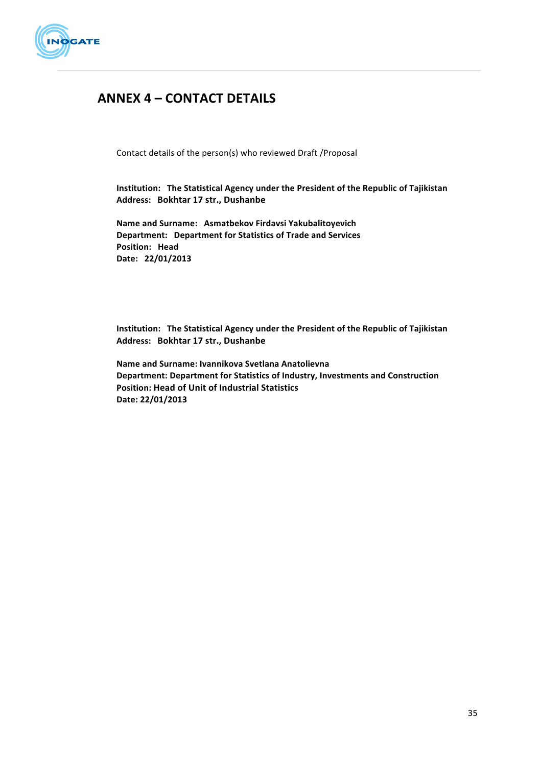

# **ANNEX 4 – CONTACT DETAILS**

Contact details of the person(s) who reviewed Draft / Proposal

**Institution:** The Statistical Agency under the President of the Republic of Tajikistan Address: Bokhtar 17 str., Dushanbe

**Name and Surname: Asmatbekov Firdavsi Yakubalitoyevich Department: Department for Statistics of Trade and Services Position: Head Date: 22/01/2013**

**Institution:** The Statistical Agency under the President of the Republic of Tajikistan Address: Bokhtar 17 str., Dushanbe

**Name and Surname: Ivannikova Svetlana Anatolievna Department: Department for Statistics of Industry, Investments and Construction Position: Head of Unit of Industrial Statistics Date: 22/01/2013**